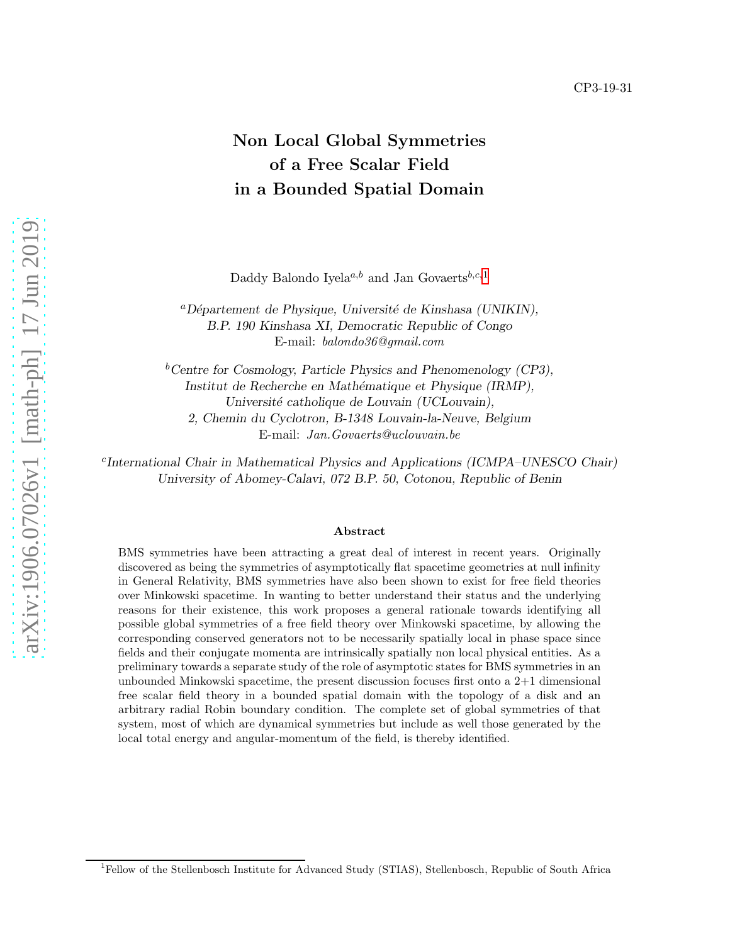# Non Local Global Symmetries of a Free Scalar Field in a Bounded Spatial Domain

Daddy Balondo Iyela<sup>a,b</sup> and Jan Govaerts<sup>b,c,[1](#page-0-0)</sup>

 ${}^a$ Département de Physique, Université de Kinshasa (UNIKIN), B.P. 190 Kinshasa XI, Democratic Republic of Congo E-mail: balondo36@gmail.com

 $b$ Centre for Cosmology, Particle Physics and Phenomenology (CP3), Institut de Recherche en Mathématique et Physique (IRMP), Université catholique de Louvain (UCLouvain), 2, Chemin du Cyclotron, B-1348 Louvain-la-Neuve, Belgium E-mail: Jan.Govaerts@uclouvain.be

c International Chair in Mathematical Physics and Applications (ICMPA–UNESCO Chair) University of Abomey-Calavi, 072 B.P. 50, Cotonou, Republic of Benin

#### Abstract

BMS symmetries have been attracting a great deal of interest in recent years. Originally discovered as being the symmetries of asymptotically flat spacetime geometries at null infinity in General Relativity, BMS symmetries have also been shown to exist for free field theories over Minkowski spacetime. In wanting to better understand their status and the underlying reasons for their existence, this work proposes a general rationale towards identifying all possible global symmetries of a free field theory over Minkowski spacetime, by allowing the corresponding conserved generators not to be necessarily spatially local in phase space since fields and their conjugate momenta are intrinsically spatially non local physical entities. As a preliminary towards a separate study of the role of asymptotic states for BMS symmetries in an unbounded Minkowski spacetime, the present discussion focuses first onto a 2+1 dimensional free scalar field theory in a bounded spatial domain with the topology of a disk and an arbitrary radial Robin boundary condition. The complete set of global symmetries of that system, most of which are dynamical symmetries but include as well those generated by the local total energy and angular-momentum of the field, is thereby identified.

<span id="page-0-0"></span><sup>1</sup>Fellow of the Stellenbosch Institute for Advanced Study (STIAS), Stellenbosch, Republic of South Africa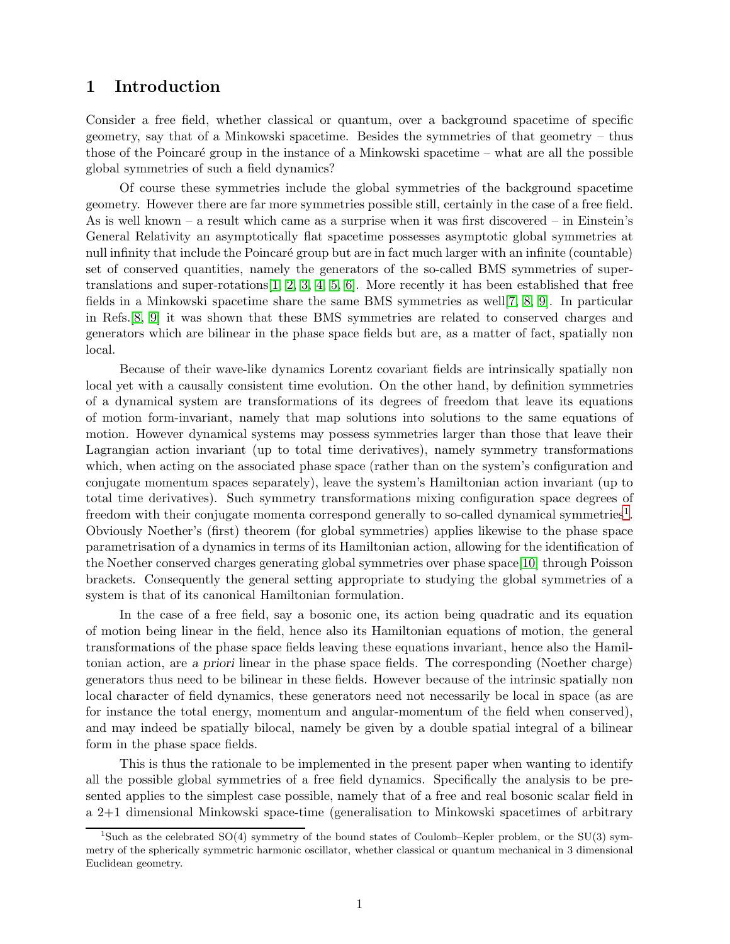### 1 Introduction

Consider a free field, whether classical or quantum, over a background spacetime of specific geometry, say that of a Minkowski spacetime. Besides the symmetries of that geometry – thus those of the Poincaré group in the instance of a Minkowski spacetime – what are all the possible global symmetries of such a field dynamics?

Of course these symmetries include the global symmetries of the background spacetime geometry. However there are far more symmetries possible still, certainly in the case of a free field. As is well known – a result which came as a surprise when it was first discovered – in Einstein's General Relativity an asymptotically flat spacetime possesses asymptotic global symmetries at null infinity that include the Poincaré group but are in fact much larger with an infinite (countable) set of conserved quantities, namely the generators of the so-called BMS symmetries of supertranslations and super-rotations  $[1, 2, 3, 4, 5, 6]$  $[1, 2, 3, 4, 5, 6]$  $[1, 2, 3, 4, 5, 6]$  $[1, 2, 3, 4, 5, 6]$  $[1, 2, 3, 4, 5, 6]$  $[1, 2, 3, 4, 5, 6]$ . More recently it has been established that free fields in a Minkowski spacetime share the same BMS symmetries as well[\[7,](#page-17-6) [8,](#page-17-7) [9\]](#page-17-8). In particular in Refs.[\[8,](#page-17-7) [9\]](#page-17-8) it was shown that these BMS symmetries are related to conserved charges and generators which are bilinear in the phase space fields but are, as a matter of fact, spatially non local.

Because of their wave-like dynamics Lorentz covariant fields are intrinsically spatially non local yet with a causally consistent time evolution. On the other hand, by definition symmetries of a dynamical system are transformations of its degrees of freedom that leave its equations of motion form-invariant, namely that map solutions into solutions to the same equations of motion. However dynamical systems may possess symmetries larger than those that leave their Lagrangian action invariant (up to total time derivatives), namely symmetry transformations which, when acting on the associated phase space (rather than on the system's configuration and conjugate momentum spaces separately), leave the system's Hamiltonian action invariant (up to total time derivatives). Such symmetry transformations mixing configuration space degrees of freedom with their conjugate momenta correspond generally to so-called dynamical symmetries<sup>[1](#page-1-0)</sup>. Obviously Noether's (first) theorem (for global symmetries) applies likewise to the phase space parametrisation of a dynamics in terms of its Hamiltonian action, allowing for the identification of the Noether conserved charges generating global symmetries over phase space[\[10\]](#page-17-9) through Poisson brackets. Consequently the general setting appropriate to studying the global symmetries of a system is that of its canonical Hamiltonian formulation.

In the case of a free field, say a bosonic one, its action being quadratic and its equation of motion being linear in the field, hence also its Hamiltonian equations of motion, the general transformations of the phase space fields leaving these equations invariant, hence also the Hamiltonian action, are a priori linear in the phase space fields. The corresponding (Noether charge) generators thus need to be bilinear in these fields. However because of the intrinsic spatially non local character of field dynamics, these generators need not necessarily be local in space (as are for instance the total energy, momentum and angular-momentum of the field when conserved), and may indeed be spatially bilocal, namely be given by a double spatial integral of a bilinear form in the phase space fields.

This is thus the rationale to be implemented in the present paper when wanting to identify all the possible global symmetries of a free field dynamics. Specifically the analysis to be presented applies to the simplest case possible, namely that of a free and real bosonic scalar field in a 2+1 dimensional Minkowski space-time (generalisation to Minkowski spacetimes of arbitrary

<span id="page-1-0"></span><sup>1</sup> Such as the celebrated SO(4) symmetry of the bound states of Coulomb–Kepler problem, or the SU(3) symmetry of the spherically symmetric harmonic oscillator, whether classical or quantum mechanical in 3 dimensional Euclidean geometry.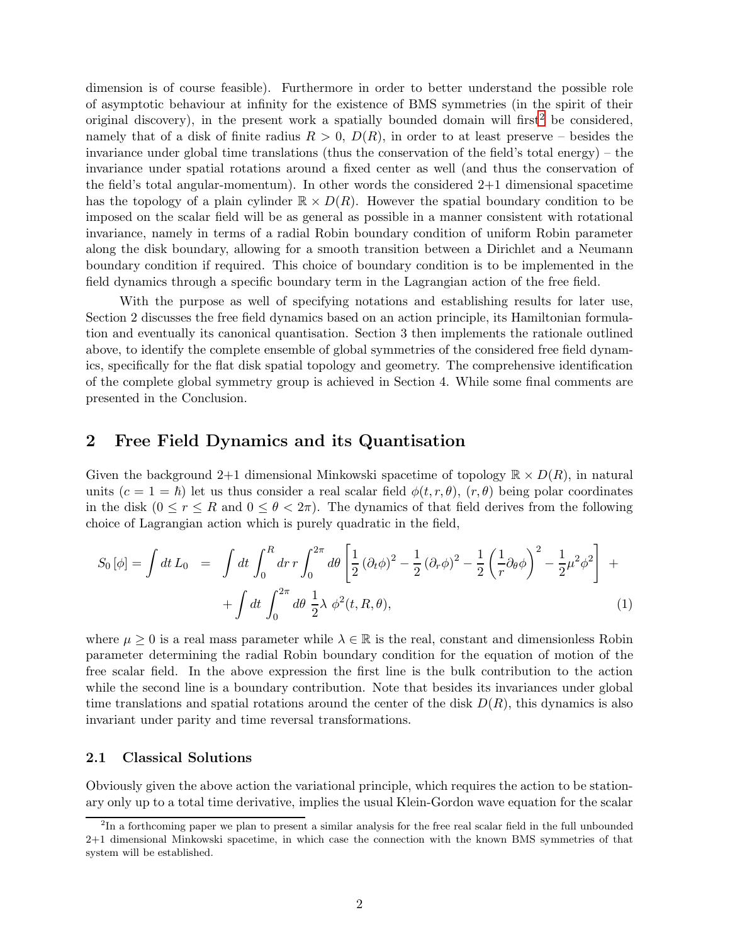dimension is of course feasible). Furthermore in order to better understand the possible role of asymptotic behaviour at infinity for the existence of BMS symmetries (in the spirit of their original discovery), in the present work a spatially bounded domain will first<sup>[2](#page-2-0)</sup> be considered. namely that of a disk of finite radius  $R > 0$ ,  $D(R)$ , in order to at least preserve – besides the invariance under global time translations (thus the conservation of the field's total energy) – the invariance under spatial rotations around a fixed center as well (and thus the conservation of the field's total angular-momentum). In other words the considered 2+1 dimensional spacetime has the topology of a plain cylinder  $\mathbb{R} \times D(R)$ . However the spatial boundary condition to be imposed on the scalar field will be as general as possible in a manner consistent with rotational invariance, namely in terms of a radial Robin boundary condition of uniform Robin parameter along the disk boundary, allowing for a smooth transition between a Dirichlet and a Neumann boundary condition if required. This choice of boundary condition is to be implemented in the field dynamics through a specific boundary term in the Lagrangian action of the free field.

With the purpose as well of specifying notations and establishing results for later use, Section 2 discusses the free field dynamics based on an action principle, its Hamiltonian formulation and eventually its canonical quantisation. Section 3 then implements the rationale outlined above, to identify the complete ensemble of global symmetries of the considered free field dynamics, specifically for the flat disk spatial topology and geometry. The comprehensive identification of the complete global symmetry group is achieved in Section 4. While some final comments are presented in the Conclusion.

### 2 Free Field Dynamics and its Quantisation

Given the background 2+1 dimensional Minkowski spacetime of topology  $\mathbb{R} \times D(R)$ , in natural units  $(c = 1 = \hbar)$  let us thus consider a real scalar field  $\phi(t, r, \theta)$ ,  $(r, \theta)$  being polar coordinates in the disk  $(0 \le r \le R$  and  $0 \le \theta < 2\pi$ ). The dynamics of that field derives from the following choice of Lagrangian action which is purely quadratic in the field,

<span id="page-2-1"></span>
$$
S_0 [\phi] = \int dt \, L_0 = \int dt \int_0^R dr \, r \int_0^{2\pi} d\theta \left[ \frac{1}{2} (\partial_t \phi)^2 - \frac{1}{2} (\partial_r \phi)^2 - \frac{1}{2} (\frac{1}{r} \partial_\theta \phi) \right]^2 - \frac{1}{2} \mu^2 \phi^2 \right] +
$$
  
+ 
$$
\int dt \int_0^{2\pi} d\theta \, \frac{1}{2} \lambda \, \phi^2(t, R, \theta), \tag{1}
$$

where  $\mu \geq 0$  is a real mass parameter while  $\lambda \in \mathbb{R}$  is the real, constant and dimensionless Robin parameter determining the radial Robin boundary condition for the equation of motion of the free scalar field. In the above expression the first line is the bulk contribution to the action while the second line is a boundary contribution. Note that besides its invariances under global time translations and spatial rotations around the center of the disk  $D(R)$ , this dynamics is also invariant under parity and time reversal transformations.

#### 2.1 Classical Solutions

Obviously given the above action the variational principle, which requires the action to be stationary only up to a total time derivative, implies the usual Klein-Gordon wave equation for the scalar

<span id="page-2-0"></span><sup>&</sup>lt;sup>2</sup>In a forthcoming paper we plan to present a similar analysis for the free real scalar field in the full unbounded 2+1 dimensional Minkowski spacetime, in which case the connection with the known BMS symmetries of that system will be established.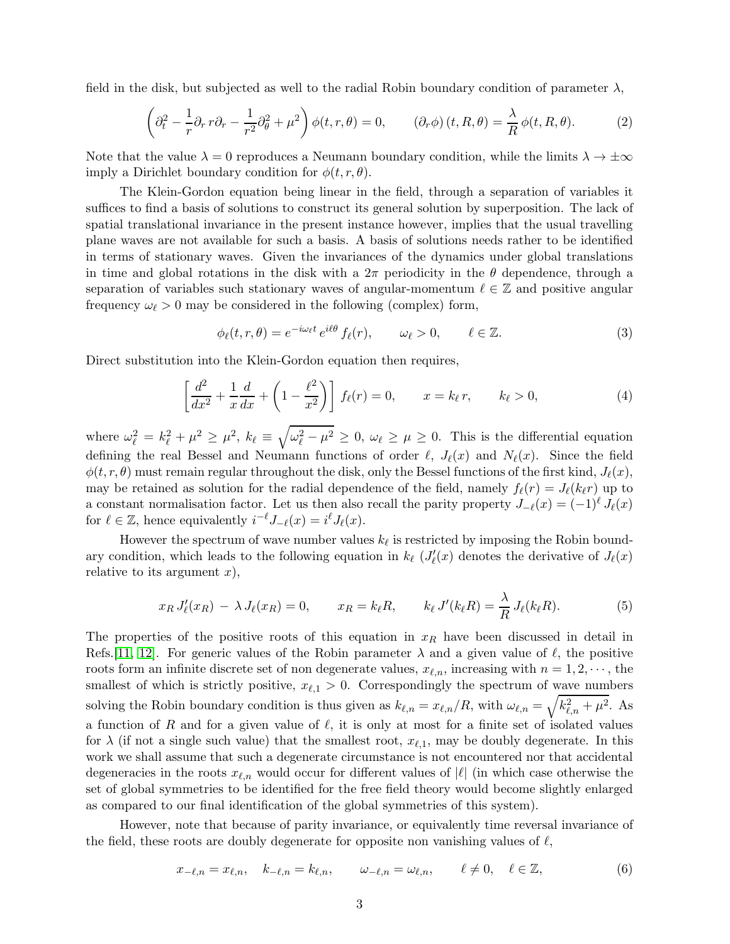field in the disk, but subjected as well to the radial Robin boundary condition of parameter  $\lambda$ ,

$$
\left(\partial_t^2 - \frac{1}{r}\partial_r r \partial_r - \frac{1}{r^2}\partial_\theta^2 + \mu^2\right)\phi(t, r, \theta) = 0, \qquad (\partial_r \phi)(t, R, \theta) = \frac{\lambda}{R}\phi(t, R, \theta). \tag{2}
$$

Note that the value  $\lambda = 0$  reproduces a Neumann boundary condition, while the limits  $\lambda \to \pm \infty$ imply a Dirichlet boundary condition for  $\phi(t, r, \theta)$ .

The Klein-Gordon equation being linear in the field, through a separation of variables it suffices to find a basis of solutions to construct its general solution by superposition. The lack of spatial translational invariance in the present instance however, implies that the usual travelling plane waves are not available for such a basis. A basis of solutions needs rather to be identified in terms of stationary waves. Given the invariances of the dynamics under global translations in time and global rotations in the disk with a  $2\pi$  periodicity in the  $\theta$  dependence, through a separation of variables such stationary waves of angular-momentum  $\ell \in \mathbb{Z}$  and positive angular frequency  $\omega_{\ell} > 0$  may be considered in the following (complex) form,

$$
\phi_{\ell}(t,r,\theta) = e^{-i\omega_{\ell}t} e^{i\theta} f_{\ell}(r), \qquad \omega_{\ell} > 0, \qquad \ell \in \mathbb{Z}.
$$
 (3)

Direct substitution into the Klein-Gordon equation then requires,

$$
\left[\frac{d^2}{dx^2} + \frac{1}{x}\frac{d}{dx} + \left(1 - \frac{\ell^2}{x^2}\right)\right] f_{\ell}(r) = 0, \qquad x = k_{\ell} r, \qquad k_{\ell} > 0,
$$
\n(4)

where  $\omega_{\ell}^2 = k_{\ell}^2 + \mu^2 \ge \mu^2$ ,  $k_{\ell} \equiv \sqrt{\omega_{\ell}^2 - \mu^2} \ge 0$ ,  $\omega_{\ell} \ge \mu \ge 0$ . This is the differential equation defining the real Bessel and Neumann functions of order  $\ell$ ,  $J_{\ell}(x)$  and  $N_{\ell}(x)$ . Since the field  $\phi(t, r, \theta)$  must remain regular throughout the disk, only the Bessel functions of the first kind,  $J_{\ell}(x)$ , may be retained as solution for the radial dependence of the field, namely  $f_{\ell}(r) = J_{\ell}(k_{\ell}r)$  up to a constant normalisation factor. Let us then also recall the parity property  $J_{-\ell}(x) = (-1)^{\ell} J_{\ell}(x)$ for  $\ell \in \mathbb{Z}$ , hence equivalently  $i^{-\ell} J_{-\ell}(x) = i^{\ell} J_{\ell}(x)$ .

However the spectrum of wave number values  $k_{\ell}$  is restricted by imposing the Robin boundary condition, which leads to the following equation in  $k_{\ell}$  ( $J'_{\ell}(x)$ ) denotes the derivative of  $J_{\ell}(x)$ relative to its argument  $x$ ),

$$
x_R J'_{\ell}(x_R) - \lambda J_{\ell}(x_R) = 0, \qquad x_R = k_{\ell} R, \qquad k_{\ell} J'(k_{\ell} R) = \frac{\lambda}{R} J_{\ell}(k_{\ell} R). \tag{5}
$$

The properties of the positive roots of this equation in  $x_R$  have been discussed in detail in Refs.[\[11,](#page-17-10) [12\]](#page-17-11). For generic values of the Robin parameter  $\lambda$  and a given value of  $\ell$ , the positive roots form an infinite discrete set of non degenerate values,  $x_{\ell,n}$ , increasing with  $n = 1, 2, \dots$ , the smallest of which is strictly positive,  $x_{\ell,1} > 0$ . Correspondingly the spectrum of wave numbers solving the Robin boundary condition is thus given as  $k_{\ell,n} = x_{\ell,n}/R$ , with  $\omega_{\ell,n} = \sqrt{k_{\ell,n}^2 + \mu^2}$ . As a function of R and for a given value of  $\ell$ , it is only at most for a finite set of isolated values for  $\lambda$  (if not a single such value) that the smallest root,  $x_{\ell,1}$ , may be doubly degenerate. In this work we shall assume that such a degenerate circumstance is not encountered nor that accidental degeneracies in the roots  $x_{\ell,n}$  would occur for different values of  $|\ell|$  (in which case otherwise the set of global symmetries to be identified for the free field theory would become slightly enlarged as compared to our final identification of the global symmetries of this system).

However, note that because of parity invariance, or equivalently time reversal invariance of the field, these roots are doubly degenerate for opposite non vanishing values of  $\ell$ ,

$$
x_{-\ell,n} = x_{\ell,n}, \quad k_{-\ell,n} = k_{\ell,n}, \qquad \omega_{-\ell,n} = \omega_{\ell,n}, \qquad \ell \neq 0, \quad \ell \in \mathbb{Z}, \tag{6}
$$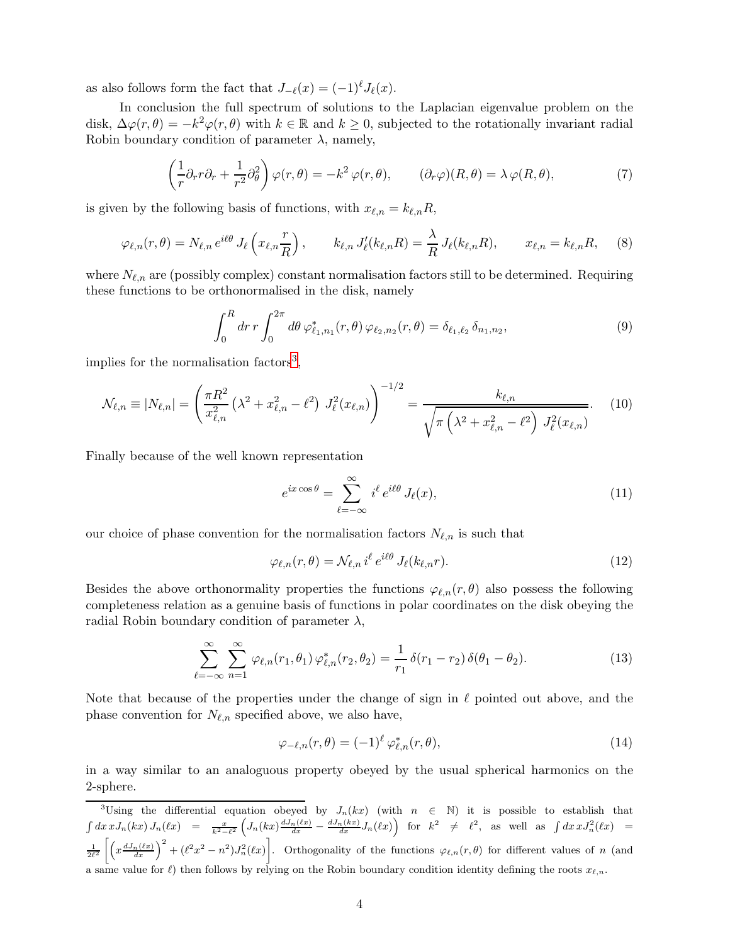as also follows form the fact that  $J_{-\ell}(x) = (-1)^{\ell} J_{\ell}(x)$ .

In conclusion the full spectrum of solutions to the Laplacian eigenvalue problem on the disk,  $\Delta \varphi(r,\theta) = -k^2 \varphi(r,\theta)$  with  $k \in \mathbb{R}$  and  $k \geq 0$ , subjected to the rotationally invariant radial Robin boundary condition of parameter  $\lambda$ , namely,

$$
\left(\frac{1}{r}\partial_r r \partial_r + \frac{1}{r^2} \partial_\theta^2\right) \varphi(r,\theta) = -k^2 \varphi(r,\theta), \qquad (\partial_r \varphi)(R,\theta) = \lambda \varphi(R,\theta), \tag{7}
$$

is given by the following basis of functions, with  $x_{\ell,n} = k_{\ell,n}R$ ,

$$
\varphi_{\ell,n}(r,\theta) = N_{\ell,n} e^{i\ell\theta} J_{\ell} \left( x_{\ell,n} \frac{r}{R} \right), \qquad k_{\ell,n} J'_{\ell}(k_{\ell,n} R) = \frac{\lambda}{R} J_{\ell}(k_{\ell,n} R), \qquad x_{\ell,n} = k_{\ell,n} R, \tag{8}
$$

where  $N_{\ell,n}$  are (possibly complex) constant normalisation factors still to be determined. Requiring these functions to be orthonormalised in the disk, namely

$$
\int_0^R dr \, r \int_0^{2\pi} d\theta \, \varphi_{\ell_1, n_1}^*(r, \theta) \, \varphi_{\ell_2, n_2}(r, \theta) = \delta_{\ell_1, \ell_2} \, \delta_{n_1, n_2},\tag{9}
$$

implies for the normalisation factors<sup>[3](#page-4-0)</sup>,

$$
\mathcal{N}_{\ell,n} \equiv |N_{\ell,n}| = \left(\frac{\pi R^2}{x_{\ell,n}^2} \left(\lambda^2 + x_{\ell,n}^2 - \ell^2\right) J_{\ell}^2(x_{\ell,n})\right)^{-1/2} = \frac{k_{\ell,n}}{\sqrt{\pi \left(\lambda^2 + x_{\ell,n}^2 - \ell^2\right) J_{\ell}^2(x_{\ell,n})}}.
$$
(10)

Finally because of the well known representation

$$
e^{ix\cos\theta} = \sum_{\ell=-\infty}^{\infty} i^{\ell} e^{i\ell\theta} J_{\ell}(x), \qquad (11)
$$

our choice of phase convention for the normalisation factors  $N_{\ell,n}$  is such that

$$
\varphi_{\ell,n}(r,\theta) = \mathcal{N}_{\ell,n} \, i^{\ell} \, e^{i\ell\theta} \, J_{\ell}(k_{\ell,n}r). \tag{12}
$$

Besides the above orthonormality properties the functions  $\varphi_{\ell,n}(r,\theta)$  also possess the following completeness relation as a genuine basis of functions in polar coordinates on the disk obeying the radial Robin boundary condition of parameter  $\lambda$ ,

<span id="page-4-1"></span>
$$
\sum_{\ell=-\infty}^{\infty} \sum_{n=1}^{\infty} \varphi_{\ell,n}(r_1,\theta_1) \varphi_{\ell,n}^*(r_2,\theta_2) = \frac{1}{r_1} \delta(r_1 - r_2) \delta(\theta_1 - \theta_2).
$$
 (13)

Note that because of the properties under the change of sign in  $\ell$  pointed out above, and the phase convention for  $N_{\ell,n}$  specified above, we also have,

$$
\varphi_{-\ell,n}(r,\theta) = (-1)^{\ell} \varphi_{\ell,n}^*(r,\theta),\tag{14}
$$

in a way similar to an analoguous property obeyed by the usual spherical harmonics on the 2-sphere.

<span id="page-4-0"></span><sup>3</sup>Using the differential equation obeyed by  $J_n(kx)$  (with  $n \in \mathbb{N}$ ) it is possible to establish that  $\int dx\,xJ_n(kx)\,J_n(\ell x) = \frac{x}{k^2-\ell^2}\left(J_n(kx)\frac{dJ_n(\ell x)}{dx}-\frac{dJ_n(kx)}{dx}J_n(\ell x)\right)$  for  $k^2 \neq \ell^2$ , as well as  $\int dx\,xJ_n^2(\ell x) =$  $\frac{1}{2\ell^2}\left[\left(x\frac{dJ_n(\ell x)}{dx}\right)^2+(\ell^2x^2-n^2)J_n^2(\ell x)\right]$ . Orthogonality of the functions  $\varphi_{\ell,n}(r,\theta)$  for different values of n (and a same value for  $\ell$ ) then follows by relying on the Robin boundary condition identity defining the roots  $x_{\ell,n}$ .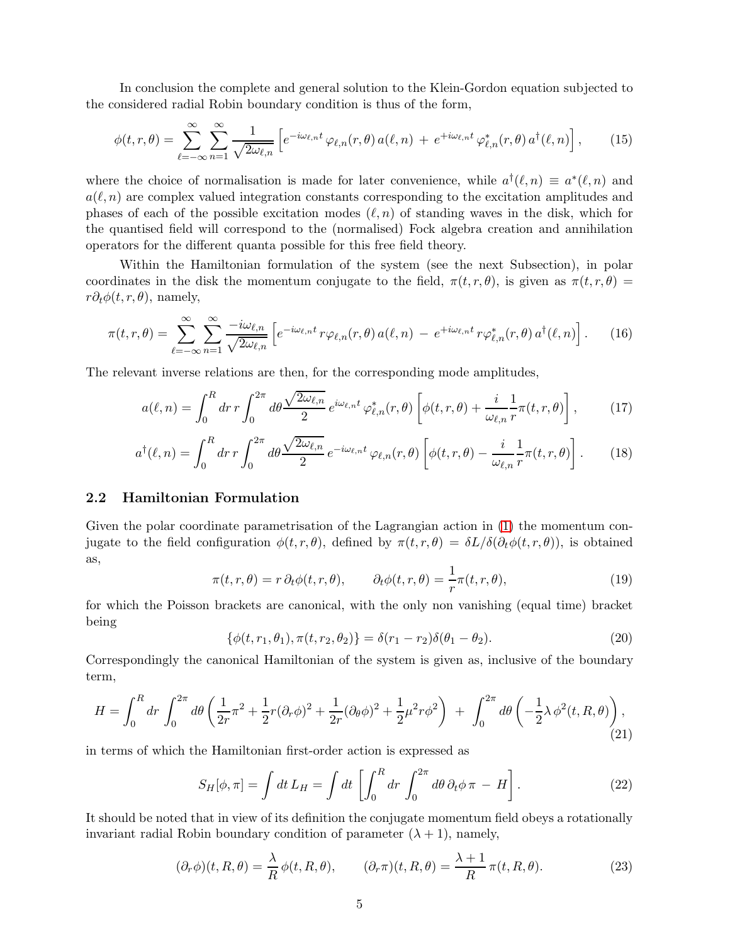In conclusion the complete and general solution to the Klein-Gordon equation subjected to the considered radial Robin boundary condition is thus of the form,

<span id="page-5-0"></span>
$$
\phi(t,r,\theta) = \sum_{\ell=-\infty}^{\infty} \sum_{n=1}^{\infty} \frac{1}{\sqrt{2\omega_{\ell,n}}} \left[ e^{-i\omega_{\ell,n}t} \varphi_{\ell,n}(r,\theta) a(\ell,n) + e^{+i\omega_{\ell,n}t} \varphi_{\ell,n}^*(r,\theta) a^{\dagger}(\ell,n) \right],
$$
(15)

where the choice of normalisation is made for later convenience, while  $a^{\dagger}(\ell,n) \equiv a^*(\ell,n)$  and  $a(\ell, n)$  are complex valued integration constants corresponding to the excitation amplitudes and phases of each of the possible excitation modes  $(\ell, n)$  of standing waves in the disk, which for the quantised field will correspond to the (normalised) Fock algebra creation and annihilation operators for the different quanta possible for this free field theory.

Within the Hamiltonian formulation of the system (see the next Subsection), in polar coordinates in the disk the momentum conjugate to the field,  $\pi(t, r, \theta)$ , is given as  $\pi(t, r, \theta)$  $r\partial_t\phi(t,r,\theta)$ , namely,

<span id="page-5-1"></span>
$$
\pi(t,r,\theta) = \sum_{\ell=-\infty}^{\infty} \sum_{n=1}^{\infty} \frac{-i\omega_{\ell,n}}{\sqrt{2\omega_{\ell,n}}} \left[ e^{-i\omega_{\ell,n}t} \, r\varphi_{\ell,n}(r,\theta) \, a(\ell,n) \, - \, e^{+i\omega_{\ell,n}t} \, r\varphi_{\ell,n}^*(r,\theta) \, a^{\dagger}(\ell,n) \right]. \tag{16}
$$

The relevant inverse relations are then, for the corresponding mode amplitudes,

<span id="page-5-2"></span>
$$
a(\ell,n) = \int_0^R dr \, r \int_0^{2\pi} d\theta \frac{\sqrt{2\omega_{\ell,n}}}{2} \, e^{i\omega_{\ell,n}t} \, \varphi_{\ell,n}^*(r,\theta) \left[ \phi(t,r,\theta) + \frac{i}{\omega_{\ell,n}} \frac{1}{r} \pi(t,r,\theta) \right],\tag{17}
$$

<span id="page-5-3"></span>
$$
a^{\dagger}(\ell,n) = \int_0^R dr \, r \int_0^{2\pi} d\theta \frac{\sqrt{2\omega_{\ell,n}}}{2} \, e^{-i\omega_{\ell,n}t} \, \varphi_{\ell,n}(r,\theta) \left[ \phi(t,r,\theta) - \frac{i}{\omega_{\ell,n}} \frac{1}{r} \pi(t,r,\theta) \right]. \tag{18}
$$

### 2.2 Hamiltonian Formulation

Given the polar coordinate parametrisation of the Lagrangian action in [\(1\)](#page-2-1) the momentum conjugate to the field configuration  $\phi(t, r, \theta)$ , defined by  $\pi(t, r, \theta) = \delta L/\delta(\partial_t \phi(t, r, \theta))$ , is obtained as,

$$
\pi(t,r,\theta) = r \, \partial_t \phi(t,r,\theta), \qquad \partial_t \phi(t,r,\theta) = \frac{1}{r} \pi(t,r,\theta), \tag{19}
$$

for which the Poisson brackets are canonical, with the only non vanishing (equal time) bracket being

$$
\{\phi(t, r_1, \theta_1), \pi(t, r_2, \theta_2)\} = \delta(r_1 - r_2)\delta(\theta_1 - \theta_2). \tag{20}
$$

Correspondingly the canonical Hamiltonian of the system is given as, inclusive of the boundary term,

<span id="page-5-4"></span>
$$
H = \int_0^R dr \int_0^{2\pi} d\theta \left( \frac{1}{2r} \pi^2 + \frac{1}{2} r (\partial_r \phi)^2 + \frac{1}{2r} (\partial_\theta \phi)^2 + \frac{1}{2} \mu^2 r \phi^2 \right) + \int_0^{2\pi} d\theta \left( -\frac{1}{2} \lambda \phi^2(t, R, \theta) \right), \tag{21}
$$

in terms of which the Hamiltonian first-order action is expressed as

<span id="page-5-5"></span>
$$
S_H[\phi,\pi] = \int dt L_H = \int dt \left[ \int_0^R dr \int_0^{2\pi} d\theta \, \partial_t \phi \, \pi - H \right]. \tag{22}
$$

It should be noted that in view of its definition the conjugate momentum field obeys a rotationally invariant radial Robin boundary condition of parameter  $(\lambda + 1)$ , namely,

$$
(\partial_r \phi)(t, R, \theta) = \frac{\lambda}{R} \phi(t, R, \theta), \qquad (\partial_r \pi)(t, R, \theta) = \frac{\lambda + 1}{R} \pi(t, R, \theta).
$$
 (23)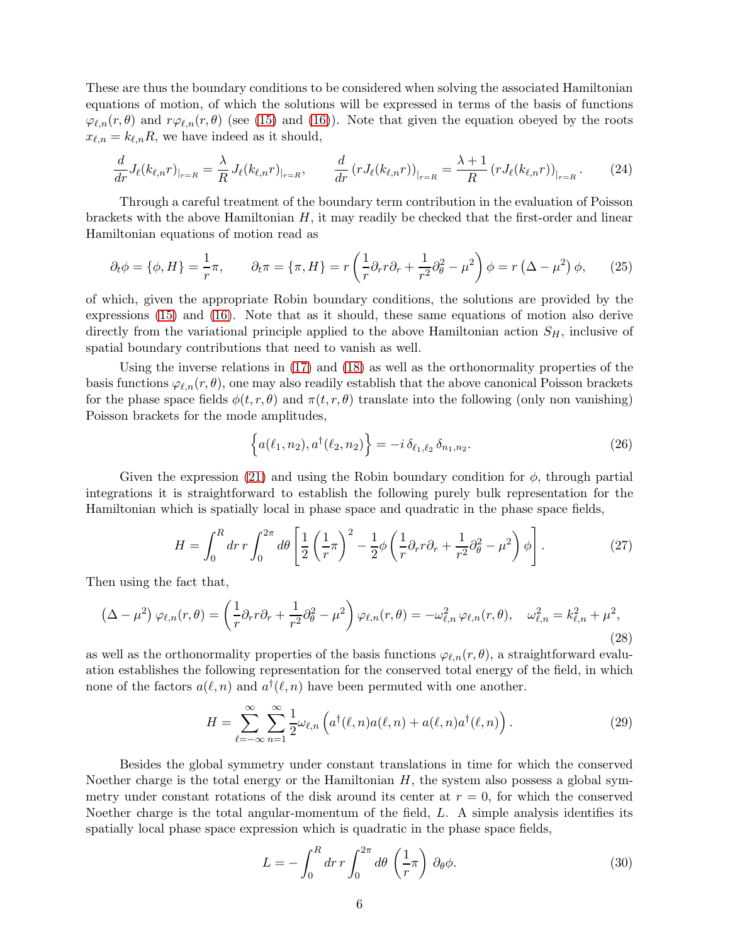These are thus the boundary conditions to be considered when solving the associated Hamiltonian equations of motion, of which the solutions will be expressed in terms of the basis of functions  $\varphi_{\ell,n}(r,\theta)$  and  $r\varphi_{\ell,n}(r,\theta)$  (see [\(15\)](#page-5-0) and [\(16\)](#page-5-1)). Note that given the equation obeyed by the roots  $x_{\ell,n} = k_{\ell,n} R$ , we have indeed as it should,

$$
\frac{d}{dr}J_{\ell}(k_{\ell,n}r)_{|_{r=R}} = \frac{\lambda}{R}J_{\ell}(k_{\ell,n}r)_{|_{r=R}}, \qquad \frac{d}{dr}(rJ_{\ell}(k_{\ell,n}r))_{|_{r=R}} = \frac{\lambda+1}{R}(rJ_{\ell}(k_{\ell,n}r))_{|_{r=R}}.\tag{24}
$$

Through a careful treatment of the boundary term contribution in the evaluation of Poisson brackets with the above Hamiltonian  $H$ , it may readily be checked that the first-order and linear Hamiltonian equations of motion read as

$$
\partial_t \phi = \{\phi, H\} = \frac{1}{r}\pi, \qquad \partial_t \pi = \{\pi, H\} = r\left(\frac{1}{r}\partial_r r \partial_r + \frac{1}{r^2}\partial_\theta^2 - \mu^2\right)\phi = r\left(\Delta - \mu^2\right)\phi,\tag{25}
$$

of which, given the appropriate Robin boundary conditions, the solutions are provided by the expressions [\(15\)](#page-5-0) and [\(16\)](#page-5-1). Note that as it should, these same equations of motion also derive directly from the variational principle applied to the above Hamiltonian action  $S_H$ , inclusive of spatial boundary contributions that need to vanish as well.

Using the inverse relations in [\(17\)](#page-5-2) and [\(18\)](#page-5-3) as well as the orthonormality properties of the basis functions  $\varphi_{\ell,n}(r,\theta)$ , one may also readily establish that the above canonical Poisson brackets for the phase space fields  $\phi(t, r, \theta)$  and  $\pi(t, r, \theta)$  translate into the following (only non vanishing) Poisson brackets for the mode amplitudes,

$$
\left\{ a(\ell_1, n_2), a^{\dagger}(\ell_2, n_2) \right\} = -i \, \delta_{\ell_1, \ell_2} \, \delta_{n_1, n_2}.
$$
 (26)

Given the expression [\(21\)](#page-5-4) and using the Robin boundary condition for  $\phi$ , through partial integrations it is straightforward to establish the following purely bulk representation for the Hamiltonian which is spatially local in phase space and quadratic in the phase space fields,

<span id="page-6-0"></span>
$$
H = \int_0^R dr \, r \int_0^{2\pi} d\theta \left[ \frac{1}{2} \left( \frac{1}{r} \pi \right)^2 - \frac{1}{2} \phi \left( \frac{1}{r} \partial_r r \partial_r + \frac{1}{r^2} \partial_\theta^2 - \mu^2 \right) \phi \right]. \tag{27}
$$

Then using the fact that,

$$
\left(\Delta - \mu^2\right)\varphi_{\ell,n}(r,\theta) = \left(\frac{1}{r}\partial_r r \partial_r + \frac{1}{r^2}\partial_\theta^2 - \mu^2\right)\varphi_{\ell,n}(r,\theta) = -\omega_{\ell,n}^2\,\varphi_{\ell,n}(r,\theta), \quad \omega_{\ell,n}^2 = k_{\ell,n}^2 + \mu^2,\tag{28}
$$

as well as the orthonormality properties of the basis functions  $\varphi_{\ell,n}(r,\theta)$ , a straightforward evaluation establishes the following representation for the conserved total energy of the field, in which none of the factors  $a(\ell, n)$  and  $a^{\dagger}(\ell, n)$  have been permuted with one another.

$$
H = \sum_{\ell=-\infty}^{\infty} \sum_{n=1}^{\infty} \frac{1}{2} \omega_{\ell,n} \left( a^{\dagger}(\ell,n) a(\ell,n) + a(\ell,n) a^{\dagger}(\ell,n) \right).
$$
 (29)

Besides the global symmetry under constant translations in time for which the conserved Noether charge is the total energy or the Hamiltonian  $H$ , the system also possess a global symmetry under constant rotations of the disk around its center at  $r = 0$ , for which the conserved Noether charge is the total angular-momentum of the field, L. A simple analysis identifies its spatially local phase space expression which is quadratic in the phase space fields,

$$
L = -\int_0^R dr \, r \int_0^{2\pi} d\theta \, \left(\frac{1}{r}\pi\right) \, \partial_\theta \phi. \tag{30}
$$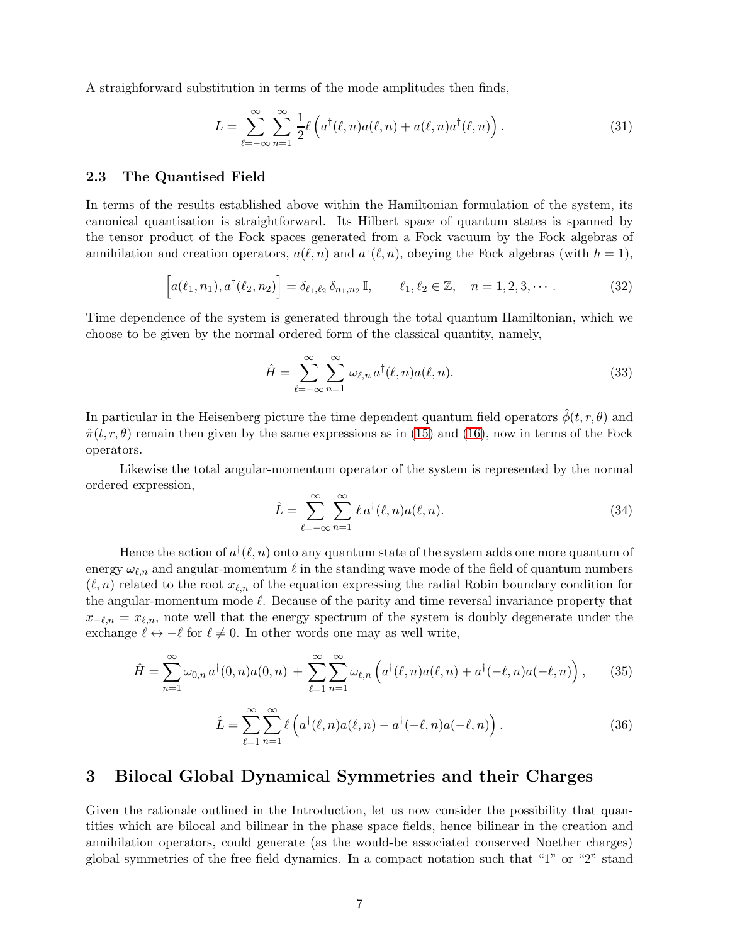A straighforward substitution in terms of the mode amplitudes then finds,

$$
L = \sum_{\ell=-\infty}^{\infty} \sum_{n=1}^{\infty} \frac{1}{2} \ell \left( a^{\dagger}(\ell, n) a(\ell, n) + a(\ell, n) a^{\dagger}(\ell, n) \right).
$$
 (31)

#### 2.3 The Quantised Field

In terms of the results established above within the Hamiltonian formulation of the system, its canonical quantisation is straightforward. Its Hilbert space of quantum states is spanned by the tensor product of the Fock spaces generated from a Fock vacuum by the Fock algebras of annihilation and creation operators,  $a(\ell, n)$  and  $a^{\dagger}(\ell, n)$ , obeying the Fock algebras (with  $\hbar = 1$ ),

$$
\[a(\ell_1, n_1), a^{\dagger}(\ell_2, n_2)\] = \delta_{\ell_1, \ell_2} \,\delta_{n_1, n_2} \,\mathbb{I}, \qquad \ell_1, \ell_2 \in \mathbb{Z}, \quad n = 1, 2, 3, \cdots. \tag{32}
$$

Time dependence of the system is generated through the total quantum Hamiltonian, which we choose to be given by the normal ordered form of the classical quantity, namely,

$$
\hat{H} = \sum_{\ell=-\infty}^{\infty} \sum_{n=1}^{\infty} \omega_{\ell,n} a^{\dagger}(\ell,n) a(\ell,n).
$$
 (33)

In particular in the Heisenberg picture the time dependent quantum field operators  $\hat{\phi}(t, r, \theta)$  and  $\hat{\pi}(t, r, \theta)$  remain then given by the same expressions as in [\(15\)](#page-5-0) and [\(16\)](#page-5-1), now in terms of the Fock operators.

Likewise the total angular-momentum operator of the system is represented by the normal ordered expression,

$$
\hat{L} = \sum_{\ell=-\infty}^{\infty} \sum_{n=1}^{\infty} \ell a^{\dagger}(\ell, n) a(\ell, n). \tag{34}
$$

Hence the action of  $a^{\dagger}(\ell,n)$  onto any quantum state of the system adds one more quantum of energy  $\omega_{\ell,n}$  and angular-momentum  $\ell$  in the standing wave mode of the field of quantum numbers  $(\ell, n)$  related to the root  $x_{\ell, n}$  of the equation expressing the radial Robin boundary condition for the angular-momentum mode  $\ell$ . Because of the parity and time reversal invariance property that  $x_{-\ell,n} = x_{\ell,n}$ , note well that the energy spectrum of the system is doubly degenerate under the exchange  $\ell \leftrightarrow -\ell$  for  $\ell \neq 0$ . In other words one may as well write,

<span id="page-7-0"></span>
$$
\hat{H} = \sum_{n=1}^{\infty} \omega_{0,n} a^{\dagger}(0,n) a(0,n) + \sum_{\ell=1}^{\infty} \sum_{n=1}^{\infty} \omega_{\ell,n} \left( a^{\dagger}(\ell,n) a(\ell,n) + a^{\dagger}(-\ell,n) a(-\ell,n) \right), \tag{35}
$$

<span id="page-7-1"></span>
$$
\hat{L} = \sum_{\ell=1}^{\infty} \sum_{n=1}^{\infty} \ell\left(a^{\dagger}(\ell, n) a(\ell, n) - a^{\dagger}(-\ell, n) a(-\ell, n)\right).
$$
\n(36)

### 3 Bilocal Global Dynamical Symmetries and their Charges

Given the rationale outlined in the Introduction, let us now consider the possibility that quantities which are bilocal and bilinear in the phase space fields, hence bilinear in the creation and annihilation operators, could generate (as the would-be associated conserved Noether charges) global symmetries of the free field dynamics. In a compact notation such that "1" or "2" stand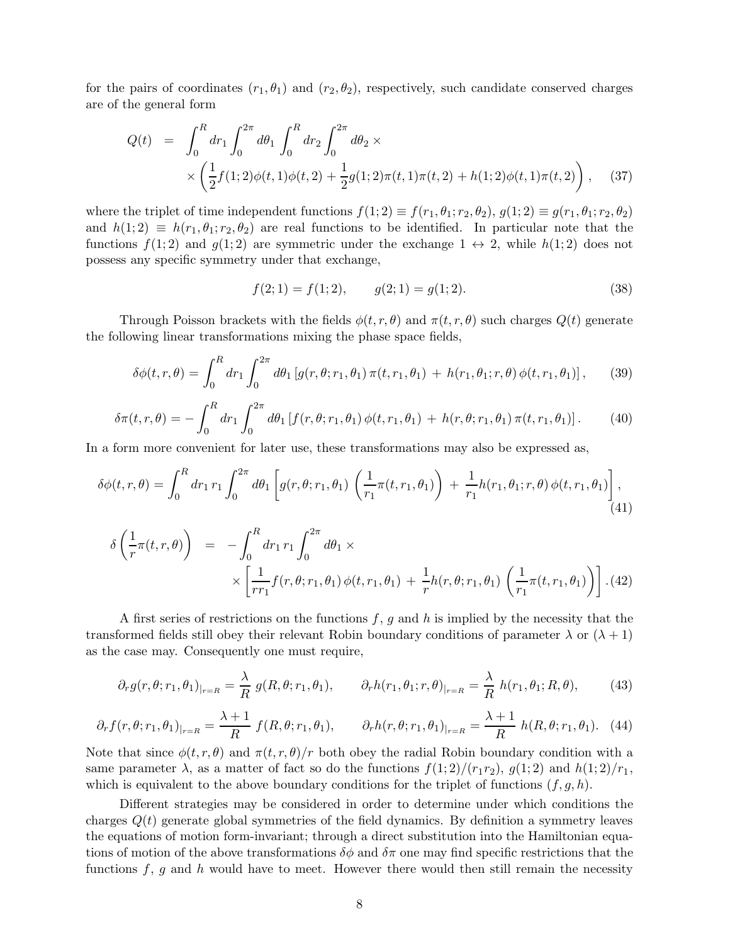for the pairs of coordinates  $(r_1, \theta_1)$  and  $(r_2, \theta_2)$ , respectively, such candidate conserved charges are of the general form

$$
Q(t) = \int_0^R dr_1 \int_0^{2\pi} d\theta_1 \int_0^R dr_2 \int_0^{2\pi} d\theta_2 \times \times \left( \frac{1}{2} f(1; 2) \phi(t, 1) \phi(t, 2) + \frac{1}{2} g(1; 2) \pi(t, 1) \pi(t, 2) + h(1; 2) \phi(t, 1) \pi(t, 2) \right), \quad (37)
$$

where the triplet of time independent functions  $f(1; 2) \equiv f(r_1, \theta_1; r_2, \theta_2), g(1; 2) \equiv g(r_1, \theta_1; r_2, \theta_2)$ and  $h(1; 2) \equiv h(r_1, \theta_1; r_2, \theta_2)$  are real functions to be identified. In particular note that the functions  $f(1; 2)$  and  $g(1; 2)$  are symmetric under the exchange  $1 \leftrightarrow 2$ , while  $h(1; 2)$  does not possess any specific symmetry under that exchange,

$$
f(2;1) = f(1;2), \qquad g(2;1) = g(1;2). \tag{38}
$$

Through Poisson brackets with the fields  $\phi(t, r, \theta)$  and  $\pi(t, r, \theta)$  such charges  $Q(t)$  generate the following linear transformations mixing the phase space fields,

<span id="page-8-0"></span>
$$
\delta\phi(t,r,\theta) = \int_0^R dr_1 \int_0^{2\pi} d\theta_1 \left[ g(r,\theta;r_1,\theta_1) \pi(t,r_1,\theta_1) + h(r_1,\theta_1;r,\theta) \phi(t,r_1,\theta_1) \right], \quad (39)
$$

<span id="page-8-1"></span>
$$
\delta\pi(t,r,\theta) = -\int_0^R dr_1 \int_0^{2\pi} d\theta_1 \left[ f(r,\theta;r_1,\theta_1) \phi(t,r_1,\theta_1) + h(r,\theta;r_1,\theta_1) \pi(t,r_1,\theta_1) \right]. \tag{40}
$$

In a form more convenient for later use, these transformations may also be expressed as,

$$
\delta\phi(t,r,\theta) = \int_0^R dr_1 r_1 \int_0^{2\pi} d\theta_1 \left[ g(r,\theta; r_1,\theta_1) \left( \frac{1}{r_1} \pi(t,r_1,\theta_1) \right) + \frac{1}{r_1} h(r_1,\theta_1; r,\theta) \phi(t,r_1,\theta_1) \right], \tag{41}
$$

$$
\delta\left(\frac{1}{r}\pi(t,r,\theta)\right) = -\int_0^R dr_1 r_1 \int_0^{2\pi} d\theta_1 \times \times \left[\frac{1}{rr_1}f(r,\theta;r_1,\theta_1)\,\phi(t,r_1,\theta_1) + \frac{1}{r}h(r,\theta;r_1,\theta_1)\,\left(\frac{1}{r_1}\pi(t,r_1,\theta_1)\right)\right].\tag{42}
$$

A first series of restrictions on the functions  $f, g$  and h is implied by the necessity that the transformed fields still obey their relevant Robin boundary conditions of parameter  $\lambda$  or  $(\lambda + 1)$ as the case may. Consequently one must require,

$$
\partial_r g(r,\theta; r_1,\theta_1)|_{r=R} = \frac{\lambda}{R} g(R,\theta; r_1,\theta_1), \qquad \partial_r h(r_1,\theta_1; r,\theta)|_{r=R} = \frac{\lambda}{R} h(r_1,\theta_1; R,\theta), \qquad (43)
$$

$$
\partial_r f(r, \theta; r_1, \theta_1)_{|_{r=R}} = \frac{\lambda + 1}{R} f(R, \theta; r_1, \theta_1), \qquad \partial_r h(r, \theta; r_1, \theta_1)_{|_{r=R}} = \frac{\lambda + 1}{R} h(R, \theta; r_1, \theta_1). \tag{44}
$$

Note that since  $\phi(t, r, \theta)$  and  $\pi(t, r, \theta)/r$  both obey the radial Robin boundary condition with a same parameter  $\lambda$ , as a matter of fact so do the functions  $f(1; 2)/(r_1r_2)$ ,  $g(1; 2)$  and  $h(1; 2)/r_1$ , which is equivalent to the above boundary conditions for the triplet of functions  $(f, g, h)$ .

Different strategies may be considered in order to determine under which conditions the charges  $Q(t)$  generate global symmetries of the field dynamics. By definition a symmetry leaves the equations of motion form-invariant; through a direct substitution into the Hamiltonian equations of motion of the above transformations  $\delta\phi$  and  $\delta\pi$  one may find specific restrictions that the functions  $f, g$  and  $h$  would have to meet. However there would then still remain the necessity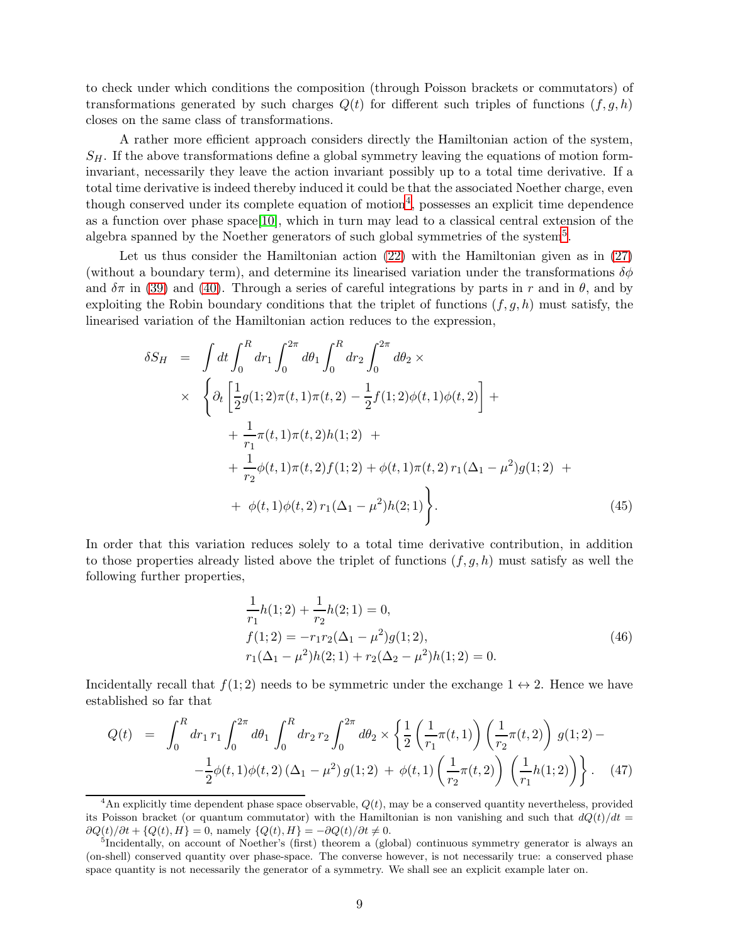to check under which conditions the composition (through Poisson brackets or commutators) of transformations generated by such charges  $Q(t)$  for different such triples of functions  $(f, g, h)$ closes on the same class of transformations.

A rather more efficient approach considers directly the Hamiltonian action of the system,  $S_H$ . If the above transformations define a global symmetry leaving the equations of motion forminvariant, necessarily they leave the action invariant possibly up to a total time derivative. If a total time derivative is indeed thereby induced it could be that the associated Noether charge, even though conserved under its complete equation of motion<sup>[4](#page-9-0)</sup>, possesses an explicit time dependence as a function over phase space[\[10\]](#page-17-9), which in turn may lead to a classical central extension of the algebra spanned by the Noether generators of such global symmetries of the system<sup>[5](#page-9-1)</sup>.

Let us thus consider the Hamiltonian action [\(22\)](#page-5-5) with the Hamiltonian given as in [\(27\)](#page-6-0) (without a boundary term), and determine its linearised variation under the transformations  $\delta\phi$ and  $\delta\pi$  in [\(39\)](#page-8-0) and [\(40\)](#page-8-1). Through a series of careful integrations by parts in r and in  $\theta$ , and by exploiting the Robin boundary conditions that the triplet of functions  $(f, g, h)$  must satisfy, the linearised variation of the Hamiltonian action reduces to the expression,

$$
\delta S_H = \int dt \int_0^R dr_1 \int_0^{2\pi} d\theta_1 \int_0^R dr_2 \int_0^{2\pi} d\theta_2 \times
$$
  
 
$$
\times \left\{ \partial_t \left[ \frac{1}{2} g(1; 2) \pi(t, 1) \pi(t, 2) - \frac{1}{2} f(1; 2) \phi(t, 1) \phi(t, 2) \right] + \frac{1}{r_1} \pi(t, 1) \pi(t, 2) h(1; 2) + \frac{1}{r_2} \phi(t, 1) \pi(t, 2) f(1; 2) + \phi(t, 1) \pi(t, 2) r_1 (\Delta_1 - \mu^2) g(1; 2) + \phi(t, 1) \phi(t, 2) r_1 (\Delta_1 - \mu^2) h(2; 1) \right\}.
$$
 (45)

In order that this variation reduces solely to a total time derivative contribution, in addition to those properties already listed above the triplet of functions  $(f, g, h)$  must satisfy as well the following further properties,

$$
\frac{1}{r_1}h(1;2) + \frac{1}{r_2}h(2;1) = 0,
$$
  
\n
$$
f(1;2) = -r_1r_2(\Delta_1 - \mu^2)g(1;2),
$$
  
\n
$$
r_1(\Delta_1 - \mu^2)h(2;1) + r_2(\Delta_2 - \mu^2)h(1;2) = 0.
$$
\n(46)

Incidentally recall that  $f(1; 2)$  needs to be symmetric under the exchange  $1 \leftrightarrow 2$ . Hence we have established so far that

<span id="page-9-2"></span>
$$
Q(t) = \int_0^R dr_1 r_1 \int_0^{2\pi} d\theta_1 \int_0^R dr_2 r_2 \int_0^{2\pi} d\theta_2 \times \left\{ \frac{1}{2} \left( \frac{1}{r_1} \pi(t, 1) \right) \left( \frac{1}{r_2} \pi(t, 2) \right) g(1; 2) - \frac{1}{2} \phi(t, 1) \phi(t, 2) \left( \Delta_1 - \mu^2 \right) g(1; 2) + \phi(t, 1) \left( \frac{1}{r_2} \pi(t, 2) \right) \left( \frac{1}{r_1} h(1; 2) \right) \right\}.
$$
 (47)

<span id="page-9-0"></span><sup>&</sup>lt;sup>4</sup>An explicitly time dependent phase space observable,  $Q(t)$ , may be a conserved quantity nevertheless, provided its Poisson bracket (or quantum commutator) with the Hamiltonian is non vanishing and such that  $dQ(t)/dt =$  $\partial Q(t)/\partial t + \{Q(t), H\} = 0$ , namely  $\{Q(t), H\} = -\partial Q(t)/\partial t \neq 0$ .

<span id="page-9-1"></span><sup>&</sup>lt;sup>5</sup>Incidentally, on account of Noether's (first) theorem a (global) continuous symmetry generator is always an (on-shell) conserved quantity over phase-space. The converse however, is not necessarily true: a conserved phase space quantity is not necessarily the generator of a symmetry. We shall see an explicit example later on.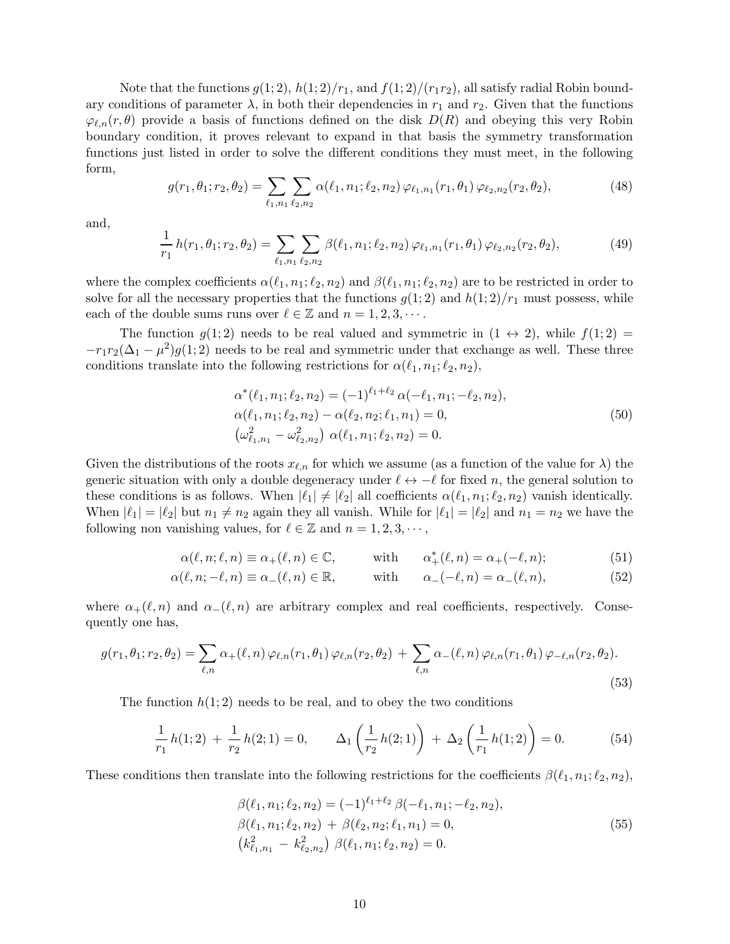Note that the functions  $g(1; 2)$ ,  $h(1; 2)/r_1$ , and  $f(1; 2)/(r_1r_2)$ , all satisfy radial Robin boundary conditions of parameter  $\lambda$ , in both their dependencies in  $r_1$  and  $r_2$ . Given that the functions  $\varphi_{\ell,n}(r,\theta)$  provide a basis of functions defined on the disk  $D(R)$  and obeying this very Robin boundary condition, it proves relevant to expand in that basis the symmetry transformation functions just listed in order to solve the different conditions they must meet, in the following form,

$$
g(r_1, \theta_1; r_2, \theta_2) = \sum_{\ell_1, n_1} \sum_{\ell_2, n_2} \alpha(\ell_1, n_1; \ell_2, n_2) \, \varphi_{\ell_1, n_1}(r_1, \theta_1) \, \varphi_{\ell_2, n_2}(r_2, \theta_2),\tag{48}
$$

and,

$$
\frac{1}{r_1} h(r_1, \theta_1; r_2, \theta_2) = \sum_{\ell_1, n_1} \sum_{\ell_2, n_2} \beta(\ell_1, n_1; \ell_2, n_2) \, \varphi_{\ell_1, n_1}(r_1, \theta_1) \, \varphi_{\ell_2, n_2}(r_2, \theta_2),\tag{49}
$$

where the complex coefficients  $\alpha(\ell_1, n_1; \ell_2, n_2)$  and  $\beta(\ell_1, n_1; \ell_2, n_2)$  are to be restricted in order to solve for all the necessary properties that the functions  $g(1; 2)$  and  $h(1; 2)/r_1$  must possess, while each of the double sums runs over  $\ell \in \mathbb{Z}$  and  $n = 1, 2, 3, \cdots$ .

The function  $g(1; 2)$  needs to be real valued and symmetric in  $(1 \leftrightarrow 2)$ , while  $f(1; 2)$  $-r_1r_2(\Delta_1-\mu^2)g(1;2)$  needs to be real and symmetric under that exchange as well. These three conditions translate into the following restrictions for  $\alpha(\ell_1, n_1; \ell_2, n_2)$ ,

$$
\alpha^*(\ell_1, n_1; \ell_2, n_2) = (-1)^{\ell_1 + \ell_2} \alpha(-\ell_1, n_1; -\ell_2, n_2),
$$
  
\n
$$
\alpha(\ell_1, n_1; \ell_2, n_2) - \alpha(\ell_2, n_2; \ell_1, n_1) = 0,
$$
  
\n
$$
(\omega_{\ell_1, n_1}^2 - \omega_{\ell_2, n_2}^2) \alpha(\ell_1, n_1; \ell_2, n_2) = 0.
$$
\n(50)

Given the distributions of the roots  $x_{\ell,n}$  for which we assume (as a function of the value for  $\lambda$ ) the generic situation with only a double degeneracy under  $\ell \leftrightarrow -\ell$  for fixed n, the general solution to these conditions is as follows. When  $|\ell_1| \neq |\ell_2|$  all coefficients  $\alpha(\ell_1, n_1; \ell_2, n_2)$  vanish identically. When  $|\ell_1| = |\ell_2|$  but  $n_1 \neq n_2$  again they all vanish. While for  $|\ell_1| = |\ell_2|$  and  $n_1 = n_2$  we have the following non vanishing values, for  $\ell \in \mathbb{Z}$  and  $n = 1, 2, 3, \cdots$ ,

$$
\alpha(\ell, n; \ell, n) \equiv \alpha_+(\ell, n) \in \mathbb{C}, \quad \text{with} \quad \alpha_+^*(\ell, n) = \alpha_+(-\ell, n); \tag{51}
$$

$$
\alpha(\ell, n; -\ell, n) \equiv \alpha_-(\ell, n) \in \mathbb{R}, \quad \text{with} \quad \alpha_-(-\ell, n) = \alpha_-(\ell, n), \tag{52}
$$

where  $\alpha_+(\ell,n)$  and  $\alpha_-(\ell,n)$  are arbitrary complex and real coefficients, respectively. Consequently one has,

$$
g(r_1, \theta_1; r_2, \theta_2) = \sum_{\ell, n} \alpha_+(\ell, n) \, \varphi_{\ell, n}(r_1, \theta_1) \, \varphi_{\ell, n}(r_2, \theta_2) + \sum_{\ell, n} \alpha_-(\ell, n) \, \varphi_{\ell, n}(r_1, \theta_1) \, \varphi_{-\ell, n}(r_2, \theta_2).
$$
\n(53)

The function  $h(1; 2)$  needs to be real, and to obey the two conditions

$$
\frac{1}{r_1}h(1;2) + \frac{1}{r_2}h(2;1) = 0, \qquad \Delta_1\left(\frac{1}{r_2}h(2;1)\right) + \Delta_2\left(\frac{1}{r_1}h(1;2)\right) = 0. \tag{54}
$$

These conditions then translate into the following restrictions for the coefficients  $\beta(\ell_1, n_1; \ell_2, n_2)$ ,

$$
\beta(\ell_1, n_1; \ell_2, n_2) = (-1)^{\ell_1 + \ell_2} \beta(-\ell_1, n_1; -\ell_2, n_2), \n\beta(\ell_1, n_1; \ell_2, n_2) + \beta(\ell_2, n_2; \ell_1, n_1) = 0, \n(k_{\ell_1, n_1}^2 - k_{\ell_2, n_2}^2) \beta(\ell_1, n_1; \ell_2, n_2) = 0.
$$
\n(55)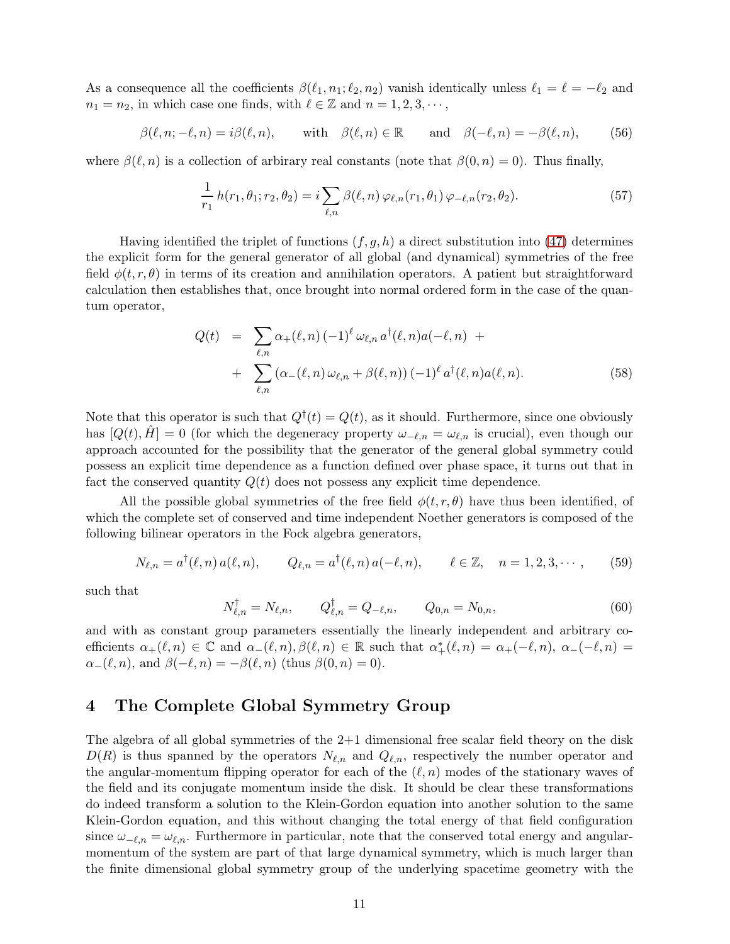As a consequence all the coefficients  $\beta(\ell_1, n_1; \ell_2, n_2)$  vanish identically unless  $\ell_1 = \ell = -\ell_2$  and  $n_1 = n_2$ , in which case one finds, with  $\ell \in \mathbb{Z}$  and  $n = 1, 2, 3, \cdots$ ,

$$
\beta(\ell, n; -\ell, n) = i\beta(\ell, n), \quad \text{with} \quad \beta(\ell, n) \in \mathbb{R} \quad \text{and} \quad \beta(-\ell, n) = -\beta(\ell, n), \quad (56)
$$

where  $\beta(\ell,n)$  is a collection of arbirary real constants (note that  $\beta(0,n) = 0$ ). Thus finally,

$$
\frac{1}{r_1} h(r_1, \theta_1; r_2, \theta_2) = i \sum_{\ell, n} \beta(\ell, n) \, \varphi_{\ell, n}(r_1, \theta_1) \, \varphi_{-\ell, n}(r_2, \theta_2). \tag{57}
$$

Having identified the triplet of functions  $(f, g, h)$  a direct substitution into [\(47\)](#page-9-2) determines the explicit form for the general generator of all global (and dynamical) symmetries of the free field  $\phi(t, r, \theta)$  in terms of its creation and annihilation operators. A patient but straightforward calculation then establishes that, once brought into normal ordered form in the case of the quantum operator,

$$
Q(t) = \sum_{\ell,n} \alpha_{+}(\ell,n) (-1)^{\ell} \omega_{\ell,n} a^{\dagger}(\ell,n) a(-\ell,n) + \sum_{\ell,n} (\alpha_{-}(\ell,n) \omega_{\ell,n} + \beta(\ell,n)) (-1)^{\ell} a^{\dagger}(\ell,n) a(\ell,n).
$$
 (58)

Note that this operator is such that  $Q^{\dagger}(t) = Q(t)$ , as it should. Furthermore, since one obviously has  $[Q(t), H] = 0$  (for which the degeneracy property  $\omega_{-\ell,n} = \omega_{\ell,n}$  is crucial), even though our approach accounted for the possibility that the generator of the general global symmetry could possess an explicit time dependence as a function defined over phase space, it turns out that in fact the conserved quantity  $Q(t)$  does not possess any explicit time dependence.

All the possible global symmetries of the free field  $\phi(t, r, \theta)$  have thus been identified, of which the complete set of conserved and time independent Noether generators is composed of the following bilinear operators in the Fock algebra generators,

$$
N_{\ell,n} = a^{\dagger}(\ell,n) a(\ell,n), \qquad Q_{\ell,n} = a^{\dagger}(\ell,n) a(-\ell,n), \qquad \ell \in \mathbb{Z}, \quad n = 1,2,3,\cdots,
$$
 (59)

such that

$$
N_{\ell,n}^{\dagger} = N_{\ell,n}, \qquad Q_{\ell,n}^{\dagger} = Q_{-\ell,n}, \qquad Q_{0,n} = N_{0,n}, \tag{60}
$$

and with as constant group parameters essentially the linearly independent and arbitrary coefficients  $\alpha_+(\ell,n) \in \mathbb{C}$  and  $\alpha_-(\ell,n), \beta(\ell,n) \in \mathbb{R}$  such that  $\alpha_+^*(\ell,n) = \alpha_+(-\ell,n), \alpha_-(\ell,n) =$  $\alpha_{-}(\ell, n)$ , and  $\beta(-\ell, n) = -\beta(\ell, n)$  (thus  $\beta(0, n) = 0$ ).

### 4 The Complete Global Symmetry Group

The algebra of all global symmetries of the 2+1 dimensional free scalar field theory on the disk  $D(R)$  is thus spanned by the operators  $N_{\ell,n}$  and  $Q_{\ell,n}$ , respectively the number operator and the angular-momentum flipping operator for each of the  $(\ell, n)$  modes of the stationary waves of the field and its conjugate momentum inside the disk. It should be clear these transformations do indeed transform a solution to the Klein-Gordon equation into another solution to the same Klein-Gordon equation, and this without changing the total energy of that field configuration since  $\omega_{-\ell,n} = \omega_{\ell,n}$ . Furthermore in particular, note that the conserved total energy and angularmomentum of the system are part of that large dynamical symmetry, which is much larger than the finite dimensional global symmetry group of the underlying spacetime geometry with the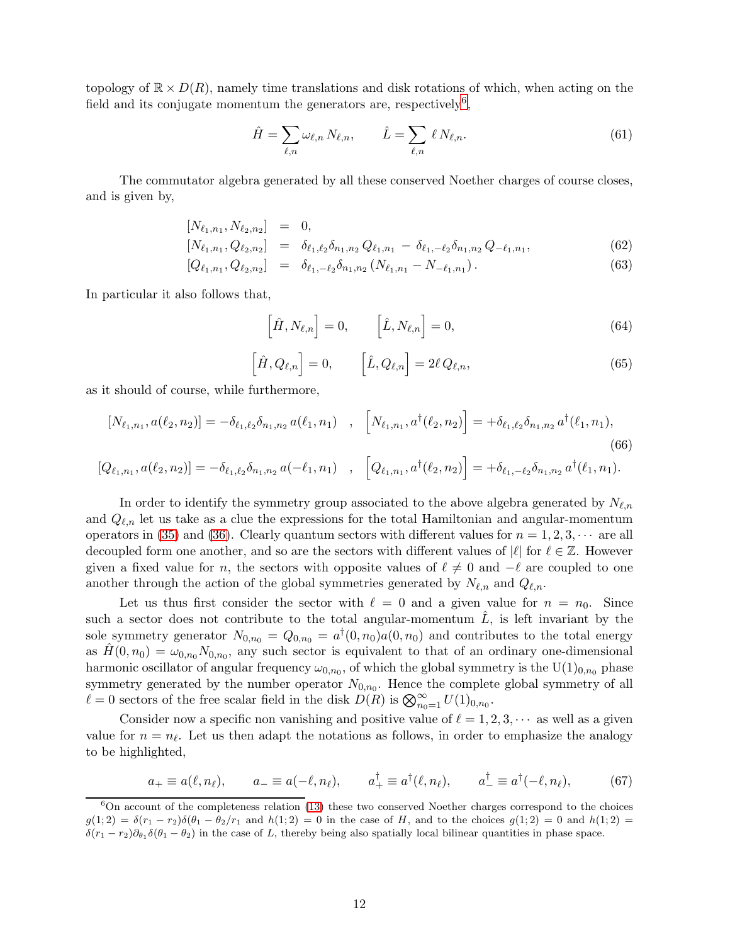topology of  $\mathbb{R} \times D(R)$ , namely time translations and disk rotations of which, when acting on the field and its conjugate momentum the generators are, respectively<sup>[6](#page-12-0)</sup>,

$$
\hat{H} = \sum_{\ell,n} \omega_{\ell,n} N_{\ell,n}, \qquad \hat{L} = \sum_{\ell,n} \ell N_{\ell,n}.
$$
\n(61)

The commutator algebra generated by all these conserved Noether charges of course closes, and is given by,

$$
[N_{\ell_1,n_1}, N_{\ell_2,n_2}] = 0,
$$
 (22)

$$
[N_{\ell_1,n_1}, Q_{\ell_2,n_2}] = \delta_{\ell_1,\ell_2} \delta_{n_1,n_2} Q_{\ell_1,n_1} - \delta_{\ell_1,-\ell_2} \delta_{n_1,n_2} Q_{-\ell_1,n_1},
$$
\n(62)

$$
[Q_{\ell_1,n_1}, Q_{\ell_2,n_2}] = \delta_{\ell_1,-\ell_2} \delta_{n_1,n_2} (N_{\ell_1,n_1} - N_{-\ell_1,n_1}). \tag{63}
$$

In particular it also follows that,

$$
\left[\hat{H}, N_{\ell,n}\right] = 0, \qquad \left[\hat{L}, N_{\ell,n}\right] = 0,\tag{64}
$$

$$
\left[\hat{H}, Q_{\ell,n}\right] = 0, \qquad \left[\hat{L}, Q_{\ell,n}\right] = 2\ell \, Q_{\ell,n},\tag{65}
$$

as it should of course, while furthermore,

$$
[N_{\ell_1,n_1}, a(\ell_2,n_2)] = -\delta_{\ell_1,\ell_2}\delta_{n_1,n_2}a(\ell_1,n_1) \quad , \quad [N_{\ell_1,n_1}, a^\dagger(\ell_2,n_2)] = +\delta_{\ell_1,\ell_2}\delta_{n_1,n_2}a^\dagger(\ell_1,n_1), \tag{66}
$$

$$
[Q_{\ell_1,n_1}, a(\ell_2,n_2)] = -\delta_{\ell_1,\ell_2}\delta_{n_1,n_2} a(-\ell_1,n_1) , [Q_{\ell_1,n_1}, a^{\dagger}(\ell_2,n_2)] = +\delta_{\ell_1,-\ell_2}\delta_{n_1,n_2} a^{\dagger}(\ell_1,n_1).
$$

In order to identify the symmetry group associated to the above algebra generated by  $N_{\ell,n}$ and  $Q_{\ell,n}$  let us take as a clue the expressions for the total Hamiltonian and angular-momentum operators in [\(35\)](#page-7-0) and [\(36\)](#page-7-1). Clearly quantum sectors with different values for  $n = 1, 2, 3, \cdots$  are all decoupled form one another, and so are the sectors with different values of  $|\ell|$  for  $\ell \in \mathbb{Z}$ . However given a fixed value for n, the sectors with opposite values of  $\ell \neq 0$  and  $-\ell$  are coupled to one another through the action of the global symmetries generated by  $N_{\ell,n}$  and  $Q_{\ell,n}$ .

Let us thus first consider the sector with  $\ell = 0$  and a given value for  $n = n_0$ . Since such a sector does not contribute to the total angular-momentum  $\hat{L}$ , is left invariant by the sole symmetry generator  $N_{0,n_0} = Q_{0,n_0} = a^{\dagger}(0,n_0)a(0,n_0)$  and contributes to the total energy as  $\hat{H}(0, n_0) = \omega_{0,n_0} N_{0,n_0}$ , any such sector is equivalent to that of an ordinary one-dimensional harmonic oscillator of angular frequency  $\omega_{0,n_0}$ , of which the global symmetry is the  $\mathrm{U}(1)_{0,n_0}$  phase symmetry generated by the number operator  $N_{0,n_0}$ . Hence the complete global symmetry of all  $\ell = 0$  sectors of the free scalar field in the disk  $D(R)$  is  $\bigotimes_{n_0=1}^{\infty} U(1)_{0,n_0}$ .

Consider now a specific non vanishing and positive value of  $\ell = 1, 2, 3, \cdots$  as well as a given value for  $n = n_{\ell}$ . Let us then adapt the notations as follows, in order to emphasize the analogy to be highlighted,

$$
a_+ \equiv a(\ell, n_\ell), \qquad a_- \equiv a(-\ell, n_\ell), \qquad a_+^\dagger \equiv a^\dagger(\ell, n_\ell), \qquad a_-^\dagger \equiv a^\dagger(-\ell, n_\ell), \tag{67}
$$

<span id="page-12-0"></span> $6$ On account of the completeness relation [\(13\)](#page-4-1) these two conserved Noether charges correspond to the choices  $g(1; 2) = \delta(r_1 - r_2)\delta(\theta_1 - \theta_2/r_1)$  and  $h(1; 2) = 0$  in the case of H, and to the choices  $g(1; 2) = 0$  and  $h(1; 2) = 0$  $\delta(r_1 - r_2)\partial_{\theta_1}\delta(\theta_1 - \theta_2)$  in the case of L, thereby being also spatially local bilinear quantities in phase space.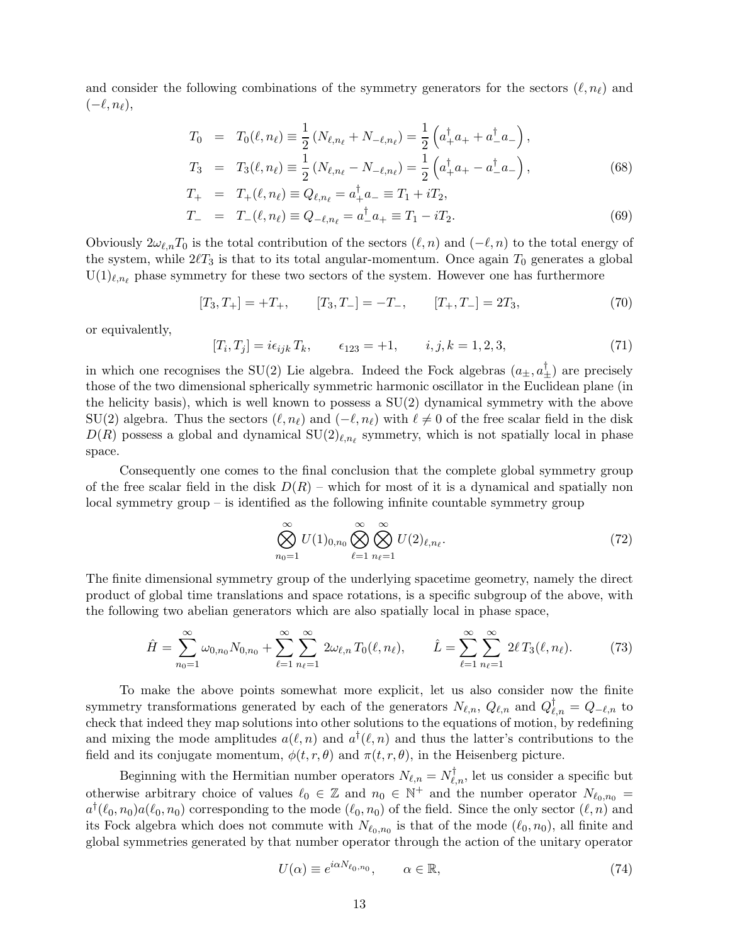and consider the following combinations of the symmetry generators for the sectors  $(\ell, n_\ell)$  and  $(-\ell, n_\ell),$ 

$$
T_0 = T_0(\ell, n_{\ell}) \equiv \frac{1}{2} \left( N_{\ell, n_{\ell}} + N_{-\ell, n_{\ell}} \right) = \frac{1}{2} \left( a_+^{\dagger} a_+ + a_-^{\dagger} a_- \right),
$$
  
\n
$$
T_3 = T_3(\ell, n_{\ell}) \equiv \frac{1}{2} \left( N_{\ell, n_{\ell}} - N_{-\ell, n_{\ell}} \right) = \frac{1}{2} \left( a_+^{\dagger} a_+ - a_-^{\dagger} a_- \right),
$$
\n(68)

$$
T_+ = T_+(\ell,n_\ell) \equiv Q_{\ell,n_\ell} = a_+^\dagger a_- \equiv T_1 + iT_2,
$$

$$
T_{-} = T_{-}(\ell, n_{\ell}) \equiv Q_{-\ell, n_{\ell}} = a_{-}^{\dagger} a_{+} \equiv T_{1} - i T_{2}.
$$
\n(69)

Obviously  $2\omega_{\ell,n}T_0$  is the total contribution of the sectors  $(\ell,n)$  and  $(-\ell,n)$  to the total energy of the system, while  $2\ell T_3$  is that to its total angular-momentum. Once again  $T_0$  generates a global  $U(1)_{\ell,n_{\ell}}$  phase symmetry for these two sectors of the system. However one has furthermore

$$
[T_3, T_+] = +T_+, \qquad [T_3, T_-] = -T_-, \qquad [T_+, T_-] = 2T_3,\tag{70}
$$

or equivalently,

$$
[T_i, T_j] = i\epsilon_{ijk} T_k, \qquad \epsilon_{123} = +1, \qquad i, j, k = 1, 2, 3,
$$
\n
$$
(71)
$$

in which one recognises the SU(2) Lie algebra. Indeed the Fock algebras  $(a_{\pm}, a_{\pm}^{\dagger})$  are precisely those of the two dimensional spherically symmetric harmonic oscillator in the Euclidean plane (in the helicity basis), which is well known to possess a  $SU(2)$  dynamical symmetry with the above SU(2) algebra. Thus the sectors  $(\ell, n_{\ell})$  and  $(-\ell, n_{\ell})$  with  $\ell \neq 0$  of the free scalar field in the disk  $D(R)$  possess a global and dynamical  $SU(2)_{\ell,n_{\ell}}$  symmetry, which is not spatially local in phase space.

Consequently one comes to the final conclusion that the complete global symmetry group of the free scalar field in the disk  $D(R)$  – which for most of it is a dynamical and spatially non local symmetry group – is identified as the following infinite countable symmetry group

$$
\bigotimes_{n_0=1}^{\infty} U(1)_{0,n_0} \bigotimes_{\ell=1}^{\infty} \bigotimes_{n_{\ell}=1}^{\infty} U(2)_{\ell,n_{\ell}}.
$$
\n(72)

The finite dimensional symmetry group of the underlying spacetime geometry, namely the direct product of global time translations and space rotations, is a specific subgroup of the above, with the following two abelian generators which are also spatially local in phase space,

$$
\hat{H} = \sum_{n_0=1}^{\infty} \omega_{0,n_0} N_{0,n_0} + \sum_{\ell=1}^{\infty} \sum_{n_\ell=1}^{\infty} 2\omega_{\ell,n} T_0(\ell,n_\ell), \qquad \hat{L} = \sum_{\ell=1}^{\infty} \sum_{n_\ell=1}^{\infty} 2\ell T_3(\ell,n_\ell). \tag{73}
$$

To make the above points somewhat more explicit, let us also consider now the finite symmetry transformations generated by each of the generators  $N_{\ell,n}$ ,  $Q_{\ell,n}$  and  $Q_{\ell,n}^{\dagger} = Q_{-\ell,n}$  to check that indeed they map solutions into other solutions to the equations of motion, by redefining and mixing the mode amplitudes  $a(\ell,n)$  and  $a^{\dagger}(\ell,n)$  and thus the latter's contributions to the field and its conjugate momentum,  $\phi(t, r, \theta)$  and  $\pi(t, r, \theta)$ , in the Heisenberg picture.

Beginning with the Hermitian number operators  $N_{\ell,n} = N_{\ell,n}^{\dagger}$ , let us consider a specific but otherwise arbitrary choice of values  $\ell_0 \in \mathbb{Z}$  and  $n_0 \in \mathbb{N}^+$  and the number operator  $N_{\ell_0,n_0}$  =  $a^{\dagger}(\ell_0, n_0) a(\ell_0, n_0)$  corresponding to the mode  $(\ell_0, n_0)$  of the field. Since the only sector  $(\ell, n)$  and its Fock algebra which does not commute with  $N_{\ell_0,n_0}$  is that of the mode  $(\ell_0,n_0)$ , all finite and global symmetries generated by that number operator through the action of the unitary operator

$$
U(\alpha) \equiv e^{i\alpha N_{\ell_0, n_0}}, \qquad \alpha \in \mathbb{R}, \tag{74}
$$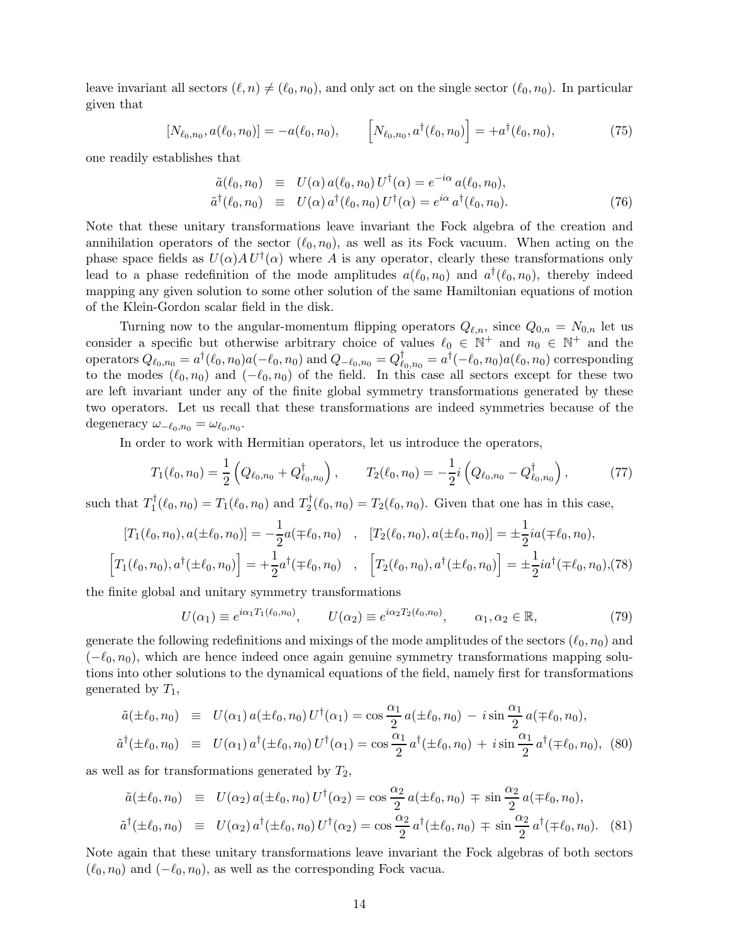leave invariant all sectors  $(\ell, n) \neq (\ell_0, n_0)$ , and only act on the single sector  $(\ell_0, n_0)$ . In particular given that

$$
[N_{\ell_0,n_0}, a(\ell_0,n_0)] = -a(\ell_0,n_0), \qquad [N_{\ell_0,n_0}, a^\dagger(\ell_0,n_0)] = +a^\dagger(\ell_0,n_0), \qquad (75)
$$

one readily establishes that

$$
\tilde{a}(\ell_0, n_0) \equiv U(\alpha) a(\ell_0, n_0) U^{\dagger}(\alpha) = e^{-i\alpha} a(\ell_0, n_0), \n\tilde{a}^{\dagger}(\ell_0, n_0) \equiv U(\alpha) a^{\dagger}(\ell_0, n_0) U^{\dagger}(\alpha) = e^{i\alpha} a^{\dagger}(\ell_0, n_0).
$$
\n(76)

Note that these unitary transformations leave invariant the Fock algebra of the creation and annihilation operators of the sector  $(\ell_0, n_0)$ , as well as its Fock vacuum. When acting on the phase space fields as  $U(\alpha)AU^{\dagger}(\alpha)$  where A is any operator, clearly these transformations only lead to a phase redefinition of the mode amplitudes  $a(\ell_0, n_0)$  and  $a^{\dagger}(\ell_0, n_0)$ , thereby indeed mapping any given solution to some other solution of the same Hamiltonian equations of motion of the Klein-Gordon scalar field in the disk.

Turning now to the angular-momentum flipping operators  $Q_{\ell,n}$ , since  $Q_{0,n} = N_{0,n}$  let us consider a specific but otherwise arbitrary choice of values  $\ell_0 \in \mathbb{N}^+$  and  $n_0 \in \mathbb{N}^+$  and the operators  $Q_{\ell_0,n_0} = a^{\dagger}(\ell_0,n_0) a(-\ell_0,n_0)$  and  $Q_{-\ell_0,n_0} = Q_{\ell}^{\dagger}$  $\theta_{\ell_0,n_0}^{\dagger} = a^{\dagger}(-\ell_0,n_0)a(\ell_0,n_0)$  corresponding to the modes  $(\ell_0, n_0)$  and  $(-\ell_0, n_0)$  of the field. In this case all sectors except for these two are left invariant under any of the finite global symmetry transformations generated by these two operators. Let us recall that these transformations are indeed symmetries because of the degeneracy  $\omega_{-\ell_0,n_0} = \omega_{\ell_0,n_0}$ .

In order to work with Hermitian operators, let us introduce the operators,

$$
T_1(\ell_0, n_0) = \frac{1}{2} \left( Q_{\ell_0, n_0} + Q_{\ell_0, n_0}^\dagger \right), \qquad T_2(\ell_0, n_0) = -\frac{1}{2} i \left( Q_{\ell_0, n_0} - Q_{\ell_0, n_0}^\dagger \right), \tag{77}
$$

such that  $T_1^{\dagger}$  $T_1^{\dagger}(\ell_0, n_0) = T_1(\ell_0, n_0)$  and  $T_2^{\dagger}$  $T_2^{\dagger}(\ell_0, n_0) = T_2(\ell_0, n_0)$ . Given that one has in this case,

$$
[T_1(\ell_0, n_0), a(\pm \ell_0, n_0)] = -\frac{1}{2}a(\mp \ell_0, n_0) , [T_2(\ell_0, n_0), a(\pm \ell_0, n_0)] = \pm \frac{1}{2}ia(\mp \ell_0, n_0),
$$
  

$$
[T_1(\ell_0, n_0), a^\dagger(\pm \ell_0, n_0)] = +\frac{1}{2}a^\dagger(\mp \ell_0, n_0) , [T_2(\ell_0, n_0), a^\dagger(\pm \ell_0, n_0)] = \pm \frac{1}{2}ia^\dagger(\mp \ell_0, n_0), (78)
$$

the finite global and unitary symmetry transformations

$$
U(\alpha_1) \equiv e^{i\alpha_1 T_1(\ell_0, n_0)}, \qquad U(\alpha_2) \equiv e^{i\alpha_2 T_2(\ell_0, n_0)}, \qquad \alpha_1, \alpha_2 \in \mathbb{R}, \tag{79}
$$

generate the following redefinitions and mixings of the mode amplitudes of the sectors  $(\ell_0, n_0)$  and  $(-\ell_0, n_0)$ , which are hence indeed once again genuine symmetry transformations mapping solutions into other solutions to the dynamical equations of the field, namely first for transformations generated by  $T_1$ ,

$$
\tilde{a}(\pm \ell_0, n_0) \equiv U(\alpha_1) a(\pm \ell_0, n_0) U^{\dagger}(\alpha_1) = \cos \frac{\alpha_1}{2} a(\pm \ell_0, n_0) - i \sin \frac{\alpha_1}{2} a(\mp \ell_0, n_0),
$$
  

$$
\tilde{a}^{\dagger}(\pm \ell_0, n_0) \equiv U(\alpha_1) a^{\dagger}(\pm \ell_0, n_0) U^{\dagger}(\alpha_1) = \cos \frac{\alpha_1}{2} a^{\dagger}(\pm \ell_0, n_0) + i \sin \frac{\alpha_1}{2} a^{\dagger}(\mp \ell_0, n_0),
$$
 (80)

as well as for transformations generated by  $T_2$ ,

$$
\tilde{a}(\pm \ell_0, n_0) \equiv U(\alpha_2) a(\pm \ell_0, n_0) U^{\dagger}(\alpha_2) = \cos \frac{\alpha_2}{2} a(\pm \ell_0, n_0) \mp \sin \frac{\alpha_2}{2} a(\mp \ell_0, n_0),
$$
  

$$
\tilde{a}^{\dagger}(\pm \ell_0, n_0) \equiv U(\alpha_2) a^{\dagger}(\pm \ell_0, n_0) U^{\dagger}(\alpha_2) = \cos \frac{\alpha_2}{2} a^{\dagger}(\pm \ell_0, n_0) \mp \sin \frac{\alpha_2}{2} a^{\dagger}(\mp \ell_0, n_0). \tag{81}
$$

Note again that these unitary transformations leave invariant the Fock algebras of both sectors  $(\ell_0, n_0)$  and  $(-\ell_0, n_0)$ , as well as the corresponding Fock vacua.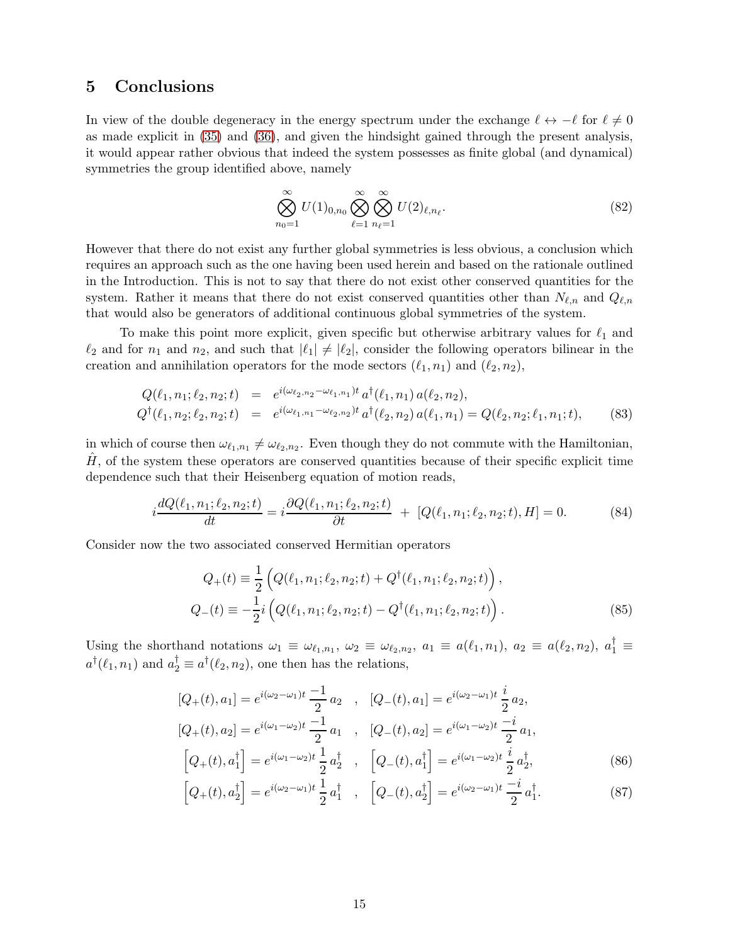### 5 Conclusions

In view of the double degeneracy in the energy spectrum under the exchange  $\ell \leftrightarrow -\ell$  for  $\ell \neq 0$ as made explicit in [\(35\)](#page-7-0) and [\(36\)](#page-7-1), and given the hindsight gained through the present analysis, it would appear rather obvious that indeed the system possesses as finite global (and dynamical) symmetries the group identified above, namely

$$
\bigotimes_{n_0=1}^{\infty} U(1)_{0,n_0} \bigotimes_{\ell=1}^{\infty} \bigotimes_{n_{\ell}=1}^{\infty} U(2)_{\ell,n_{\ell}}.
$$
\n(82)

However that there do not exist any further global symmetries is less obvious, a conclusion which requires an approach such as the one having been used herein and based on the rationale outlined in the Introduction. This is not to say that there do not exist other conserved quantities for the system. Rather it means that there do not exist conserved quantities other than  $N_{\ell,n}$  and  $Q_{\ell,n}$ that would also be generators of additional continuous global symmetries of the system.

To make this point more explicit, given specific but otherwise arbitrary values for  $\ell_1$  and  $\ell_2$  and for  $n_1$  and  $n_2$ , and such that  $|\ell_1| \neq |\ell_2|$ , consider the following operators bilinear in the creation and annihilation operators for the mode sectors  $(\ell_1, n_1)$  and  $(\ell_2, n_2)$ ,

$$
Q(\ell_1, n_1; \ell_2, n_2; t) = e^{i(\omega_{\ell_2, n_2} - \omega_{\ell_1, n_1})t} a^{\dagger}(\ell_1, n_1) a(\ell_2, n_2),
$$
  
\n
$$
Q^{\dagger}(\ell_1, n_2; \ell_2, n_2; t) = e^{i(\omega_{\ell_1, n_1} - \omega_{\ell_2, n_2})t} a^{\dagger}(\ell_2, n_2) a(\ell_1, n_1) = Q(\ell_2, n_2; \ell_1, n_1; t),
$$
\n(83)

in which of course then  $\omega_{\ell_1,n_1} \neq \omega_{\ell_2,n_2}$ . Even though they do not commute with the Hamiltonian,  $H<sub>1</sub>$ , of the system these operators are conserved quantities because of their specific explicit time dependence such that their Heisenberg equation of motion reads,

$$
i\frac{dQ(\ell_1, n_1; \ell_2, n_2; t)}{dt} = i\frac{\partial Q(\ell_1, n_1; \ell_2, n_2; t)}{\partial t} + [Q(\ell_1, n_1; \ell_2, n_2; t), H] = 0.
$$
 (84)

Consider now the two associated conserved Hermitian operators

$$
Q_{+}(t) \equiv \frac{1}{2} \left( Q(\ell_{1}, n_{1}; \ell_{2}, n_{2}; t) + Q^{\dagger}(\ell_{1}, n_{1}; \ell_{2}, n_{2}; t) \right),
$$
  
\n
$$
Q_{-}(t) \equiv -\frac{1}{2} i \left( Q(\ell_{1}, n_{1}; \ell_{2}, n_{2}; t) - Q^{\dagger}(\ell_{1}, n_{1}; \ell_{2}, n_{2}; t) \right).
$$
\n(85)

Using the shorthand notations  $\omega_1 \equiv \omega_{\ell_1,n_1}$ ,  $\omega_2 \equiv \omega_{\ell_2,n_2}$ ,  $a_1 \equiv a(\ell_1,n_1)$ ,  $a_2 \equiv a(\ell_2,n_2)$ ,  $a_1^{\dagger} \equiv a(\ell_1,n_1)$  $a^{\dagger}(\ell_1, n_1)$  and  $a_2^{\dagger} \equiv a^{\dagger}(\ell_2, n_2)$ , one then has the relations,

$$
[Q_{+}(t), a_{1}] = e^{i(\omega_{2}-\omega_{1})t} \frac{-1}{2} a_{2} , [Q_{-}(t), a_{1}] = e^{i(\omega_{2}-\omega_{1})t} \frac{i}{2} a_{2},
$$
  
\n
$$
[Q_{+}(t), a_{2}] = e^{i(\omega_{1}-\omega_{2})t} \frac{-1}{2} a_{1} , [Q_{-}(t), a_{2}] = e^{i(\omega_{1}-\omega_{2})t} \frac{-i}{2} a_{1},
$$
  
\n
$$
[Q_{+}(t), a_{1}^{\dagger}] = e^{i(\omega_{1}-\omega_{2})t} \frac{1}{2} a_{2}^{\dagger} , [Q_{-}(t), a_{1}^{\dagger}] = e^{i(\omega_{1}-\omega_{2})t} \frac{i}{2} a_{2}^{\dagger},
$$
\n(86)

$$
\left[Q_+(t), a_2^\dagger\right] = e^{i(\omega_2 - \omega_1)t} \frac{1}{2} a_1^\dagger \quad , \quad \left[Q_-(t), a_2^\dagger\right] = e^{i(\omega_2 - \omega_1)t} \frac{-i}{2} a_1^\dagger. \tag{87}
$$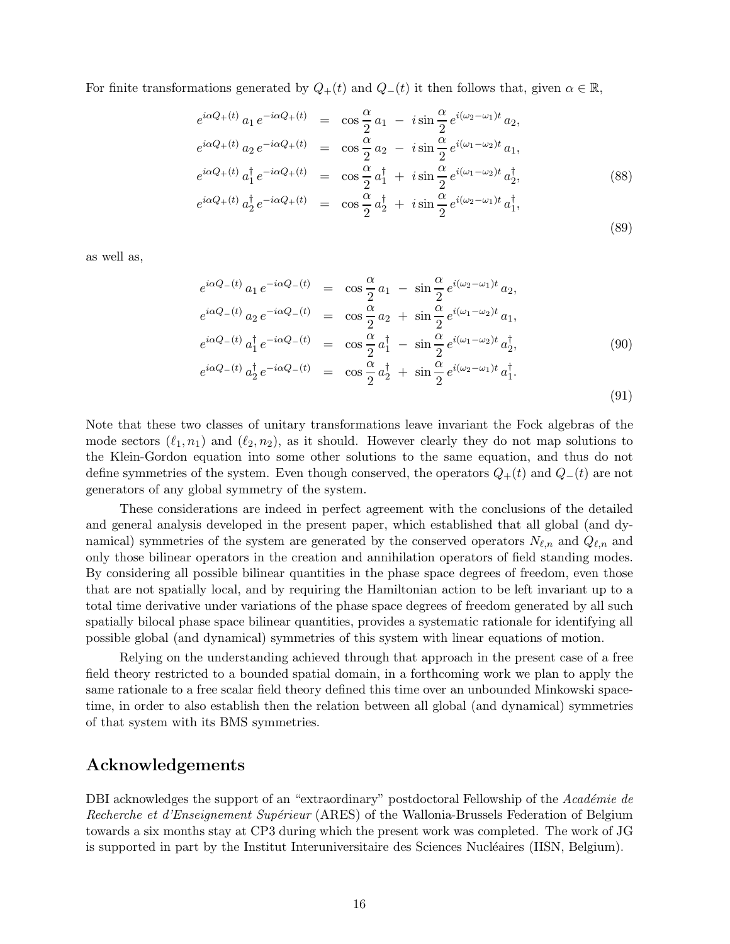For finite transformations generated by  $Q_+(t)$  and  $Q_-(t)$  it then follows that, given  $\alpha \in \mathbb{R}$ ,

$$
e^{i\alpha Q_{+}(t)} a_{1} e^{-i\alpha Q_{+}(t)} = \cos \frac{\alpha}{2} a_{1} - i \sin \frac{\alpha}{2} e^{i(\omega_{2} - \omega_{1})t} a_{2},
$$
  
\n
$$
e^{i\alpha Q_{+}(t)} a_{2} e^{-i\alpha Q_{+}(t)} = \cos \frac{\alpha}{2} a_{2} - i \sin \frac{\alpha}{2} e^{i(\omega_{1} - \omega_{2})t} a_{1},
$$
  
\n
$$
e^{i\alpha Q_{+}(t)} a_{1}^{\dagger} e^{-i\alpha Q_{+}(t)} = \cos \frac{\alpha}{2} a_{1}^{\dagger} + i \sin \frac{\alpha}{2} e^{i(\omega_{1} - \omega_{2})t} a_{2}^{\dagger},
$$
  
\n
$$
e^{i\alpha Q_{+}(t)} a_{2}^{\dagger} e^{-i\alpha Q_{+}(t)} = \cos \frac{\alpha}{2} a_{2}^{\dagger} + i \sin \frac{\alpha}{2} e^{i(\omega_{2} - \omega_{1})t} a_{1}^{\dagger},
$$
\n(89)

as well as,

$$
e^{i\alpha Q_{-}(t)} a_{1} e^{-i\alpha Q_{-}(t)} = \cos \frac{\alpha}{2} a_{1} - \sin \frac{\alpha}{2} e^{i(\omega_{2}-\omega_{1})t} a_{2},
$$
  
\n
$$
e^{i\alpha Q_{-}(t)} a_{2} e^{-i\alpha Q_{-}(t)} = \cos \frac{\alpha}{2} a_{2} + \sin \frac{\alpha}{2} e^{i(\omega_{1}-\omega_{2})t} a_{1},
$$
  
\n
$$
e^{i\alpha Q_{-}(t)} a_{1}^{\dagger} e^{-i\alpha Q_{-}(t)} = \cos \frac{\alpha}{2} a_{1}^{\dagger} - \sin \frac{\alpha}{2} e^{i(\omega_{1}-\omega_{2})t} a_{2}^{\dagger},
$$
  
\n
$$
e^{i\alpha Q_{-}(t)} a_{2}^{\dagger} e^{-i\alpha Q_{-}(t)} = \cos \frac{\alpha}{2} a_{2}^{\dagger} + \sin \frac{\alpha}{2} e^{i(\omega_{2}-\omega_{1})t} a_{1}^{\dagger}.
$$
  
\n(91)

Note that these two classes of unitary transformations leave invariant the Fock algebras of the mode sectors  $(\ell_1, n_1)$  and  $(\ell_2, n_2)$ , as it should. However clearly they do not map solutions to the Klein-Gordon equation into some other solutions to the same equation, and thus do not define symmetries of the system. Even though conserved, the operators  $Q_+(t)$  and  $Q_-(t)$  are not generators of any global symmetry of the system.

These considerations are indeed in perfect agreement with the conclusions of the detailed and general analysis developed in the present paper, which established that all global (and dynamical) symmetries of the system are generated by the conserved operators  $N_{\ell,n}$  and  $Q_{\ell,n}$  and only those bilinear operators in the creation and annihilation operators of field standing modes. By considering all possible bilinear quantities in the phase space degrees of freedom, even those that are not spatially local, and by requiring the Hamiltonian action to be left invariant up to a total time derivative under variations of the phase space degrees of freedom generated by all such spatially bilocal phase space bilinear quantities, provides a systematic rationale for identifying all possible global (and dynamical) symmetries of this system with linear equations of motion.

Relying on the understanding achieved through that approach in the present case of a free field theory restricted to a bounded spatial domain, in a forthcoming work we plan to apply the same rationale to a free scalar field theory defined this time over an unbounded Minkowski spacetime, in order to also establish then the relation between all global (and dynamical) symmetries of that system with its BMS symmetries.

### Acknowledgements

DBI acknowledges the support of an "extraordinary" postdoctoral Fellowship of the Académie de Recherche et d'Enseignement Supérieur (ARES) of the Wallonia-Brussels Federation of Belgium towards a six months stay at CP3 during which the present work was completed. The work of JG is supported in part by the Institut Interuniversitaire des Sciences Nucléaires (IISN, Belgium).